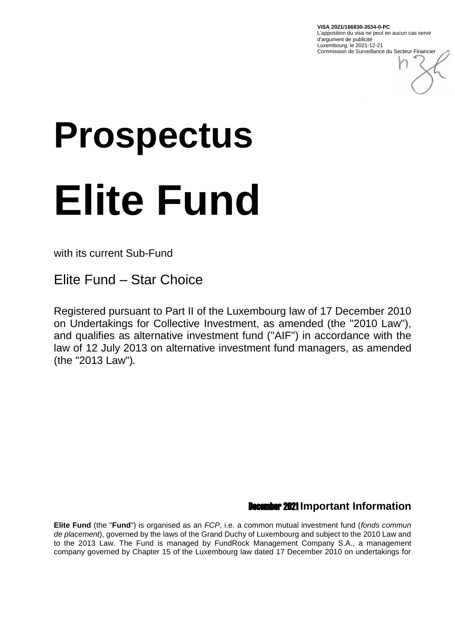**VISA 2021/166830-3534-0-PC** L'apposition du visa ne peut en aucun cas servir d'argument de publicité Luxembourg, le 2021-12-21 Commission de Surveillance du Secteur Financier

# **Prospectus Elite Fund**

with its current Sub-Fund

Elite Fund – Star Choice

Registered pursuant to Part II of the Luxembourg law of 17 December 2010 on Undertakings for Collective Investment, as amended (the "2010 Law"), and qualifies as alternative investment fund ("AIF") in accordance with the law of 12 July 2013 on alternative investment fund managers, as amended (the "2013 Law").

# December 2021 **Important Information**

**Elite Fund** (the "**Fund**") is organised as an *FCP*, i.e. a common mutual investment fund (*fonds commun de placement*), governed by the laws of the Grand Duchy of Luxembourg and subject to the 2010 Law and to the 2013 Law. The Fund is managed by FundRock Management Company S.A., a management company governed by Chapter 15 of the Luxembourg law dated 17 December 2010 on undertakings for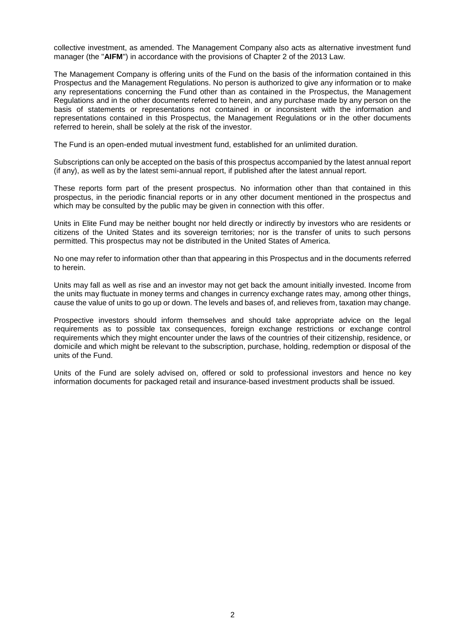collective investment, as amended. The Management Company also acts as alternative investment fund manager (the "**AIFM**") in accordance with the provisions of Chapter 2 of the 2013 Law.

The Management Company is offering units of the Fund on the basis of the information contained in this Prospectus and the Management Regulations. No person is authorized to give any information or to make any representations concerning the Fund other than as contained in the Prospectus, the Management Regulations and in the other documents referred to herein, and any purchase made by any person on the basis of statements or representations not contained in or inconsistent with the information and representations contained in this Prospectus, the Management Regulations or in the other documents referred to herein, shall be solely at the risk of the investor.

The Fund is an open-ended mutual investment fund, established for an unlimited duration.

Subscriptions can only be accepted on the basis of this prospectus accompanied by the latest annual report (if any), as well as by the latest semi-annual report, if published after the latest annual report.

These reports form part of the present prospectus. No information other than that contained in this prospectus, in the periodic financial reports or in any other document mentioned in the prospectus and which may be consulted by the public may be given in connection with this offer.

Units in Elite Fund may be neither bought nor held directly or indirectly by investors who are residents or citizens of the United States and its sovereign territories; nor is the transfer of units to such persons permitted. This prospectus may not be distributed in the United States of America.

No one may refer to information other than that appearing in this Prospectus and in the documents referred to herein.

Units may fall as well as rise and an investor may not get back the amount initially invested. Income from the units may fluctuate in money terms and changes in currency exchange rates may, among other things, cause the value of units to go up or down. The levels and bases of, and relieves from, taxation may change.

Prospective investors should inform themselves and should take appropriate advice on the legal requirements as to possible tax consequences, foreign exchange restrictions or exchange control requirements which they might encounter under the laws of the countries of their citizenship, residence, or domicile and which might be relevant to the subscription, purchase, holding, redemption or disposal of the units of the Fund.

Units of the Fund are solely advised on, offered or sold to professional investors and hence no key information documents for packaged retail and insurance-based investment products shall be issued.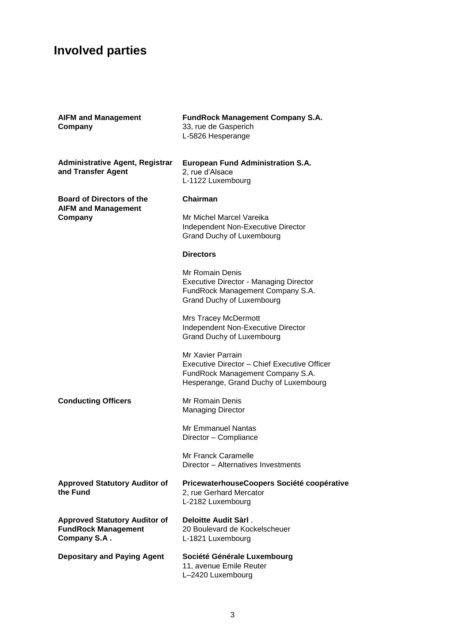# **Involved parties**

| <b>AIFM and Management</b><br>Company                                              | <b>FundRock Management Company S.A.</b><br>33, rue de Gasperich<br>L-5826 Hesperange                                                           |
|------------------------------------------------------------------------------------|------------------------------------------------------------------------------------------------------------------------------------------------|
| <b>Administrative Agent, Registrar</b><br>and Transfer Agent                       | <b>European Fund Administration S.A.</b><br>2, rue d'Alsace<br>L-1122 Luxembourg                                                               |
| <b>Board of Directors of the</b><br><b>AIFM and Management</b><br>Company          | Chairman                                                                                                                                       |
|                                                                                    | Mr Michel Marcel Vareika<br>Independent Non-Executive Director<br>Grand Duchy of Luxembourg                                                    |
|                                                                                    | <b>Directors</b>                                                                                                                               |
|                                                                                    | Mr Romain Denis<br><b>Executive Director - Managing Director</b><br>FundRock Management Company S.A.<br><b>Grand Duchy of Luxembourg</b>       |
|                                                                                    | <b>Mrs Tracey McDermott</b><br>Independent Non-Executive Director<br>Grand Duchy of Luxembourg                                                 |
|                                                                                    | Mr Xavier Parrain<br>Executive Director - Chief Executive Officer<br>FundRock Management Company S.A.<br>Hesperange, Grand Duchy of Luxembourg |
| <b>Conducting Officers</b>                                                         | Mr Romain Denis<br><b>Managing Director</b>                                                                                                    |
|                                                                                    | Mr Emmanuel Nantas<br>Director - Compliance                                                                                                    |
|                                                                                    | Mr Franck Caramelle<br>Director - Alternatives Investments                                                                                     |
| <b>Approved Statutory Auditor of</b><br>the Fund                                   | PricewaterhouseCoopers Société coopérative<br>2, rue Gerhard Mercator<br>L-2182 Luxembourg                                                     |
| <b>Approved Statutory Auditor of</b><br><b>FundRock Management</b><br>Company S.A. | Deloitte Audit Sàrl.<br>20 Boulevard de Kockelscheuer<br>L-1821 Luxembourg                                                                     |
| <b>Depositary and Paying Agent</b>                                                 | Société Générale Luxembourg<br>11, avenue Emile Reuter<br>L-2420 Luxembourg                                                                    |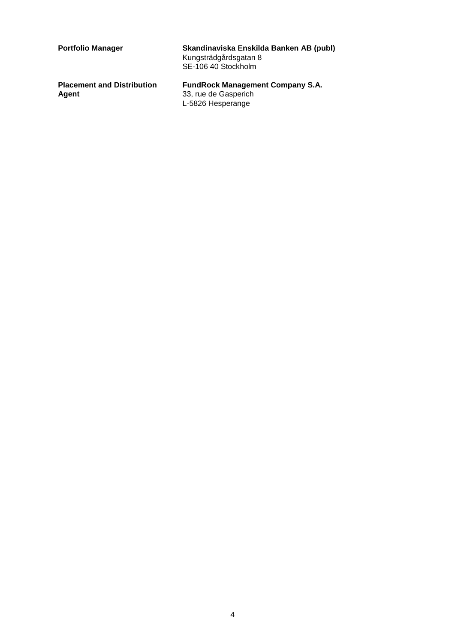| <b>Portfolio Manager</b>                   | Skandinaviska Enskilda Banken AB (publ)<br>Kungsträdgårdsgatan 8<br>SE-106 40 Stockholm |  |  |  |
|--------------------------------------------|-----------------------------------------------------------------------------------------|--|--|--|
| <b>Placement and Distribution</b><br>Agent | <b>FundRock Management Company S.A.</b><br>33, rue de Gasperich<br>L-5826 Hesperange    |  |  |  |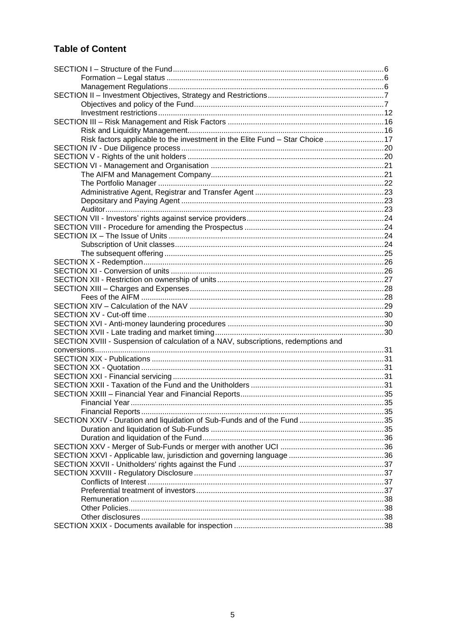# **Table of Content**

| Risk factors applicable to the investment in the Elite Fund - Star Choice  17      |  |
|------------------------------------------------------------------------------------|--|
|                                                                                    |  |
|                                                                                    |  |
|                                                                                    |  |
|                                                                                    |  |
|                                                                                    |  |
|                                                                                    |  |
|                                                                                    |  |
|                                                                                    |  |
|                                                                                    |  |
|                                                                                    |  |
|                                                                                    |  |
|                                                                                    |  |
|                                                                                    |  |
|                                                                                    |  |
|                                                                                    |  |
|                                                                                    |  |
|                                                                                    |  |
|                                                                                    |  |
|                                                                                    |  |
|                                                                                    |  |
|                                                                                    |  |
|                                                                                    |  |
| SECTION XVIII - Suspension of calculation of a NAV, subscriptions, redemptions and |  |
|                                                                                    |  |
|                                                                                    |  |
|                                                                                    |  |
|                                                                                    |  |
|                                                                                    |  |
|                                                                                    |  |
|                                                                                    |  |
|                                                                                    |  |
|                                                                                    |  |
|                                                                                    |  |
|                                                                                    |  |
|                                                                                    |  |
|                                                                                    |  |
|                                                                                    |  |
|                                                                                    |  |
|                                                                                    |  |
|                                                                                    |  |
|                                                                                    |  |
|                                                                                    |  |
|                                                                                    |  |
|                                                                                    |  |
|                                                                                    |  |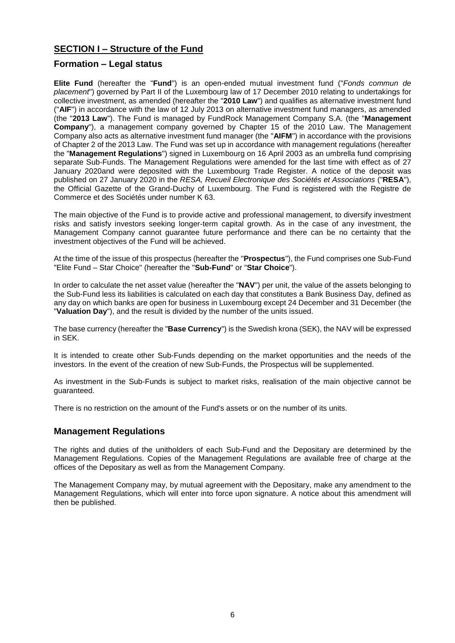# <span id="page-5-0"></span>**SECTION I – Structure of the Fund**

# <span id="page-5-1"></span>**Formation – Legal status**

**Elite Fund** (hereafter the "**Fund**") is an open-ended mutual investment fund ("*Fonds commun de placement*") governed by Part II of the Luxembourg law of 17 December 2010 relating to undertakings for collective investment, as amended (hereafter the "**2010 Law**") and qualifies as alternative investment fund ("**AIF**") in accordance with the law of 12 July 2013 on alternative investment fund managers, as amended (the "**2013 Law**"). The Fund is managed by FundRock Management Company S.A. (the "**Management Company**"), a management company governed by Chapter 15 of the 2010 Law. The Management Company also acts as alternative investment fund manager (the "**AIFM**") in accordance with the provisions of Chapter 2 of the 2013 Law. The Fund was set up in accordance with management regulations (hereafter the "**Management Regulations**") signed in Luxembourg on 16 April 2003 as an umbrella fund comprising separate Sub-Funds. The Management Regulations were amended for the last time with effect as of 27 January 2020and were deposited with the Luxembourg Trade Register. A notice of the deposit was published on 27 January 2020 in the *RESA, Recueil Electronique des Sociétés et Associations* ("**RESA**"), the Official Gazette of the Grand-Duchy of Luxembourg. The Fund is registered with the Registre de Commerce et des Sociétés under number K 63.

The main objective of the Fund is to provide active and professional management, to diversify investment risks and satisfy investors seeking longer-term capital growth. As in the case of any investment, the Management Company cannot guarantee future performance and there can be no certainty that the investment objectives of the Fund will be achieved.

At the time of the issue of this prospectus (hereafter the "**Prospectus**"), the Fund comprises one Sub-Fund "Elite Fund – Star Choice" (hereafter the "**Sub-Fund**" or "**Star Choice**").

In order to calculate the net asset value (hereafter the "**NAV**") per unit, the value of the assets belonging to the Sub-Fund less its liabilities is calculated on each day that constitutes a Bank Business Day, defined as any day on which banks are open for business in Luxembourg except 24 December and 31 December (the "**Valuation Day**"), and the result is divided by the number of the units issued.

The base currency (hereafter the "**Base Currency**") is the Swedish krona (SEK), the NAV will be expressed in SEK.

It is intended to create other Sub-Funds depending on the market opportunities and the needs of the investors. In the event of the creation of new Sub-Funds, the Prospectus will be supplemented.

As investment in the Sub-Funds is subject to market risks, realisation of the main objective cannot be guaranteed.

There is no restriction on the amount of the Fund's assets or on the number of its units.

# <span id="page-5-2"></span>**Management Regulations**

The rights and duties of the unitholders of each Sub-Fund and the Depositary are determined by the Management Regulations. Copies of the Management Regulations are available free of charge at the offices of the Depositary as well as from the Management Company.

The Management Company may, by mutual agreement with the Depositary, make any amendment to the Management Regulations, which will enter into force upon signature. A notice about this amendment will then be published.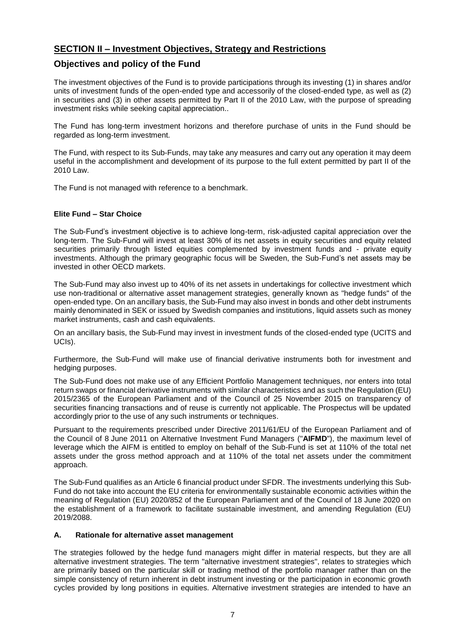# <span id="page-6-0"></span>**SECTION II – Investment Objectives, Strategy and Restrictions**

# <span id="page-6-1"></span>**Objectives and policy of the Fund**

The investment objectives of the Fund is to provide participations through its investing (1) in shares and/or units of investment funds of the open-ended type and accessorily of the closed-ended type, as well as (2) in securities and (3) in other assets permitted by Part II of the 2010 Law, with the purpose of spreading investment risks while seeking capital appreciation..

The Fund has long-term investment horizons and therefore purchase of units in the Fund should be regarded as long-term investment.

The Fund, with respect to its Sub-Funds, may take any measures and carry out any operation it may deem useful in the accomplishment and development of its purpose to the full extent permitted by part II of the 2010 Law.

The Fund is not managed with reference to a benchmark.

### **Elite Fund – Star Choice**

The Sub-Fund's investment objective is to achieve long-term, risk-adjusted capital appreciation over the long-term. The Sub-Fund will invest at least 30% of its net assets in equity securities and equity related securities primarily through listed equities complemented by investment funds and - private equity investments. Although the primary geographic focus will be Sweden, the Sub-Fund's net assets may be invested in other OECD markets.

The Sub-Fund may also invest up to 40% of its net assets in undertakings for collective investment which use non-traditional or alternative asset management strategies, generally known as "hedge funds" of the open-ended type. On an ancillary basis, the Sub-Fund may also invest in bonds and other debt instruments mainly denominated in SEK or issued by Swedish companies and institutions, liquid assets such as money market instruments, cash and cash equivalents.

On an ancillary basis, the Sub-Fund may invest in investment funds of the closed-ended type (UCITS and UCIs).

Furthermore, the Sub-Fund will make use of financial derivative instruments both for investment and hedging purposes.

The Sub-Fund does not make use of any Efficient Portfolio Management techniques, nor enters into total return swaps or financial derivative instruments with similar characteristics and as such the Regulation (EU) 2015/2365 of the European Parliament and of the Council of 25 November 2015 on transparency of securities financing transactions and of reuse is currently not applicable. The Prospectus will be updated accordingly prior to the use of any such instruments or techniques.

Pursuant to the requirements prescribed under Directive 2011/61/EU of the European Parliament and of the Council of 8 June 2011 on Alternative Investment Fund Managers ("**AIFMD**"), the maximum level of leverage which the AIFM is entitled to employ on behalf of the Sub-Fund is set at 110% of the total net assets under the gross method approach and at 110% of the total net assets under the commitment approach.

The Sub-Fund qualifies as an Article 6 financial product under SFDR. The investments underlying this Sub-Fund do not take into account the EU criteria for environmentally sustainable economic activities within the meaning of Regulation (EU) 2020/852 of the European Parliament and of the Council of 18 June 2020 on the establishment of a framework to facilitate sustainable investment, and amending Regulation (EU) 2019/2088.

### **A. Rationale for alternative asset management**

The strategies followed by the hedge fund managers might differ in material respects, but they are all alternative investment strategies. The term "alternative investment strategies", relates to strategies which are primarily based on the particular skill or trading method of the portfolio manager rather than on the simple consistency of return inherent in debt instrument investing or the participation in economic growth cycles provided by long positions in equities. Alternative investment strategies are intended to have an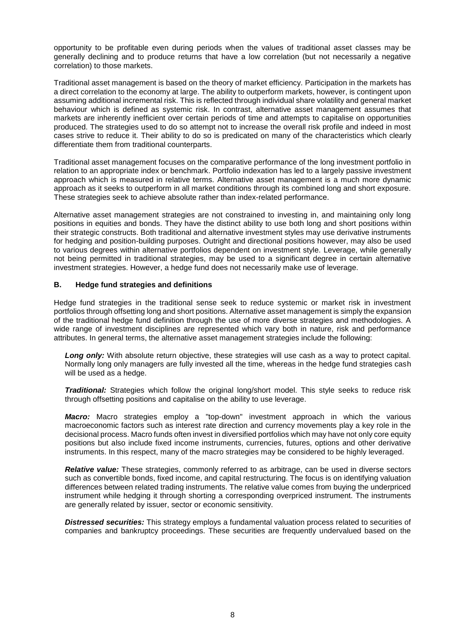opportunity to be profitable even during periods when the values of traditional asset classes may be generally declining and to produce returns that have a low correlation (but not necessarily a negative correlation) to those markets.

Traditional asset management is based on the theory of market efficiency. Participation in the markets has a direct correlation to the economy at large. The ability to outperform markets, however, is contingent upon assuming additional incremental risk. This is reflected through individual share volatility and general market behaviour which is defined as systemic risk. In contrast, alternative asset management assumes that markets are inherently inefficient over certain periods of time and attempts to capitalise on opportunities produced. The strategies used to do so attempt not to increase the overall risk profile and indeed in most cases strive to reduce it. Their ability to do so is predicated on many of the characteristics which clearly differentiate them from traditional counterparts.

Traditional asset management focuses on the comparative performance of the long investment portfolio in relation to an appropriate index or benchmark. Portfolio indexation has led to a largely passive investment approach which is measured in relative terms. Alternative asset management is a much more dynamic approach as it seeks to outperform in all market conditions through its combined long and short exposure. These strategies seek to achieve absolute rather than index-related performance.

Alternative asset management strategies are not constrained to investing in, and maintaining only long positions in equities and bonds. They have the distinct ability to use both long and short positions within their strategic constructs. Both traditional and alternative investment styles may use derivative instruments for hedging and position-building purposes. Outright and directional positions however, may also be used to various degrees within alternative portfolios dependent on investment style. Leverage, while generally not being permitted in traditional strategies, may be used to a significant degree in certain alternative investment strategies. However, a hedge fund does not necessarily make use of leverage.

### **B. Hedge fund strategies and definitions**

Hedge fund strategies in the traditional sense seek to reduce systemic or market risk in investment portfolios through offsetting long and short positions. Alternative asset management is simply the expansion of the traditional hedge fund definition through the use of more diverse strategies and methodologies. A wide range of investment disciplines are represented which vary both in nature, risk and performance attributes. In general terms, the alternative asset management strategies include the following:

Long only: With absolute return objective, these strategies will use cash as a way to protect capital. Normally long only managers are fully invested all the time, whereas in the hedge fund strategies cash will be used as a hedge.

*Traditional:* Strategies which follow the original long/short model. This style seeks to reduce risk through offsetting positions and capitalise on the ability to use leverage.

*Macro:* Macro strategies employ a "top-down" investment approach in which the various macroeconomic factors such as interest rate direction and currency movements play a key role in the decisional process. Macro funds often invest in diversified portfolios which may have not only core equity positions but also include fixed income instruments, currencies, futures, options and other derivative instruments. In this respect, many of the macro strategies may be considered to be highly leveraged.

*Relative value:* These strategies, commonly referred to as arbitrage, can be used in diverse sectors such as convertible bonds, fixed income, and capital restructuring. The focus is on identifying valuation differences between related trading instruments. The relative value comes from buying the underpriced instrument while hedging it through shorting a corresponding overpriced instrument. The instruments are generally related by issuer, sector or economic sensitivity.

*Distressed securities:* This strategy employs a fundamental valuation process related to securities of companies and bankruptcy proceedings. These securities are frequently undervalued based on the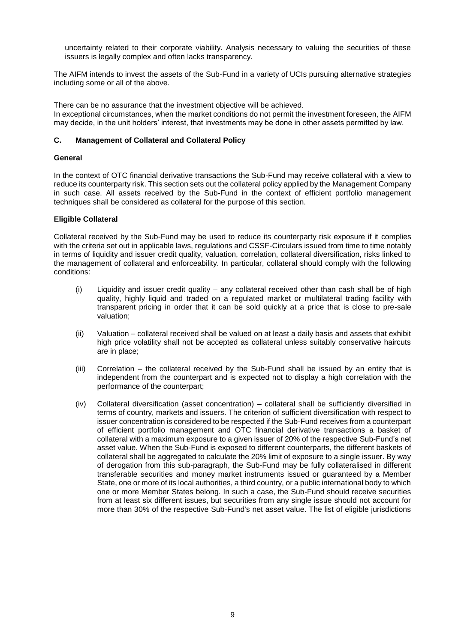uncertainty related to their corporate viability. Analysis necessary to valuing the securities of these issuers is legally complex and often lacks transparency.

The AIFM intends to invest the assets of the Sub-Fund in a variety of UCIs pursuing alternative strategies including some or all of the above.

There can be no assurance that the investment objective will be achieved. In exceptional circumstances, when the market conditions do not permit the investment foreseen, the AIFM may decide, in the unit holders' interest, that investments may be done in other assets permitted by law.

### **C. Management of Collateral and Collateral Policy**

### **General**

In the context of OTC financial derivative transactions the Sub-Fund may receive collateral with a view to reduce its counterparty risk. This section sets out the collateral policy applied by the Management Company in such case. All assets received by the Sub-Fund in the context of efficient portfolio management techniques shall be considered as collateral for the purpose of this section.

### **Eligible Collateral**

Collateral received by the Sub-Fund may be used to reduce its counterparty risk exposure if it complies with the criteria set out in applicable laws, regulations and CSSF-Circulars issued from time to time notably in terms of liquidity and issuer credit quality, valuation, correlation, collateral diversification, risks linked to the management of collateral and enforceability. In particular, collateral should comply with the following conditions:

- (i) Liquidity and issuer credit quality any collateral received other than cash shall be of high quality, highly liquid and traded on a regulated market or multilateral trading facility with transparent pricing in order that it can be sold quickly at a price that is close to pre-sale valuation;
- (ii) Valuation collateral received shall be valued on at least a daily basis and assets that exhibit high price volatility shall not be accepted as collateral unless suitably conservative haircuts are in place;
- (iii) Correlation the collateral received by the Sub-Fund shall be issued by an entity that is independent from the counterpart and is expected not to display a high correlation with the performance of the counterpart;
- (iv) Collateral diversification (asset concentration) collateral shall be sufficiently diversified in terms of country, markets and issuers. The criterion of sufficient diversification with respect to issuer concentration is considered to be respected if the Sub-Fund receives from a counterpart of efficient portfolio management and OTC financial derivative transactions a basket of collateral with a maximum exposure to a given issuer of 20% of the respective Sub-Fund's net asset value. When the Sub-Fund is exposed to different counterparts, the different baskets of collateral shall be aggregated to calculate the 20% limit of exposure to a single issuer. By way of derogation from this sub-paragraph, the Sub-Fund may be fully collateralised in different transferable securities and money market instruments issued or guaranteed by a Member State, one or more of its local authorities, a third country, or a public international body to which one or more Member States belong. In such a case, the Sub-Fund should receive securities from at least six different issues, but securities from any single issue should not account for more than 30% of the respective Sub-Fund's net asset value. The list of eligible jurisdictions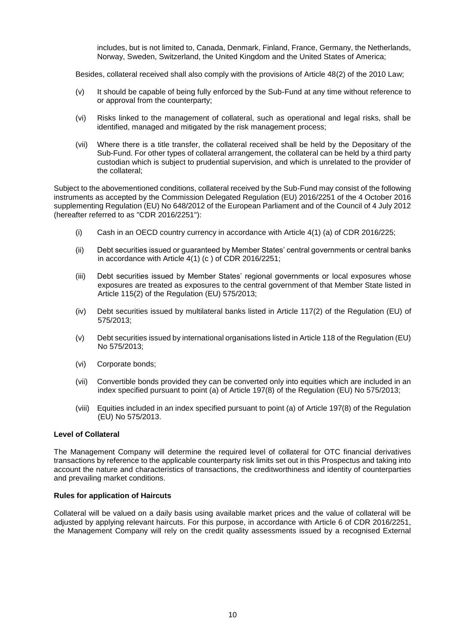includes, but is not limited to, Canada, Denmark, Finland, France, Germany, the Netherlands, Norway, Sweden, Switzerland, the United Kingdom and the United States of America;

Besides, collateral received shall also comply with the provisions of Article 48(2) of the 2010 Law;

- (v) It should be capable of being fully enforced by the Sub-Fund at any time without reference to or approval from the counterparty;
- (vi) Risks linked to the management of collateral, such as operational and legal risks, shall be identified, managed and mitigated by the risk management process;
- (vii) Where there is a title transfer, the collateral received shall be held by the Depositary of the Sub-Fund. For other types of collateral arrangement, the collateral can be held by a third party custodian which is subject to prudential supervision, and which is unrelated to the provider of the collateral;

Subject to the abovementioned conditions, collateral received by the Sub-Fund may consist of the following instruments as accepted by the Commission Delegated Regulation (EU) 2016/2251 of the 4 October 2016 supplementing Regulation (EU) No 648/2012 of the European Parliament and of the Council of 4 July 2012 (hereafter referred to as "CDR 2016/2251"):

- (i) Cash in an OECD country currency in accordance with Article 4(1) (a) of CDR 2016/225;
- (ii) Debt securities issued or guaranteed by Member States' central governments or central banks in accordance with Article 4(1) (c ) of CDR 2016/2251;
- (iii) Debt securities issued by Member States' regional governments or local exposures whose exposures are treated as exposures to the central government of that Member State listed in Article 115(2) of the Regulation (EU) 575/2013;
- (iv) Debt securities issued by multilateral banks listed in Article 117(2) of the Regulation (EU) of 575/2013;
- (v) Debt securities issued by international organisations listed in Article 118 of the Regulation (EU) No 575/2013;
- (vi) Corporate bonds;
- (vii) Convertible bonds provided they can be converted only into equities which are included in an index specified pursuant to point (a) of Article 197(8) of the Regulation (EU) No 575/2013;
- (viii) Equities included in an index specified pursuant to point (a) of Article 197(8) of the Regulation (EU) No 575/2013.

### **Level of Collateral**

The Management Company will determine the required level of collateral for OTC financial derivatives transactions by reference to the applicable counterparty risk limits set out in this Prospectus and taking into account the nature and characteristics of transactions, the creditworthiness and identity of counterparties and prevailing market conditions.

### **Rules for application of Haircuts**

Collateral will be valued on a daily basis using available market prices and the value of collateral will be adjusted by applying relevant haircuts. For this purpose, in accordance with Article 6 of CDR 2016/2251, the Management Company will rely on the credit quality assessments issued by a recognised External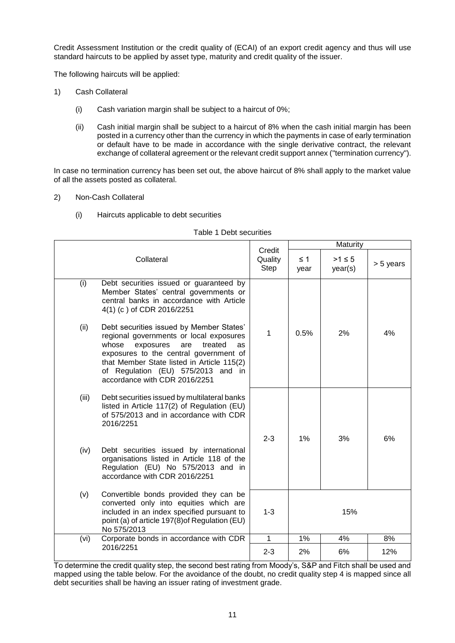Credit Assessment Institution or the credit quality of (ECAI) of an export credit agency and thus will use standard haircuts to be applied by asset type, maturity and credit quality of the issuer.

The following haircuts will be applied:

- 1) Cash Collateral
	- (i) Cash variation margin shall be subject to a haircut of 0%;
	- (ii) Cash initial margin shall be subject to a haircut of 8% when the cash initial margin has been posted in a currency other than the currency in which the payments in case of early termination or default have to be made in accordance with the single derivative contract, the relevant exchange of collateral agreement or the relevant credit support annex ("termination currency").

In case no termination currency has been set out, the above haircut of 8% shall apply to the market value of all the assets posted as collateral.

- 2) Non-Cash Collateral
	- (i) Haircuts applicable to debt securities

|                                                                                                                                                                                                                                                                                                                 |                           | Maturity         |                        |           |  |
|-----------------------------------------------------------------------------------------------------------------------------------------------------------------------------------------------------------------------------------------------------------------------------------------------------------------|---------------------------|------------------|------------------------|-----------|--|
| Collateral                                                                                                                                                                                                                                                                                                      | Credit<br>Quality<br>Step | $\leq$ 1<br>year | $>1 \leq 5$<br>year(s) | > 5 years |  |
| (i)<br>Debt securities issued or guaranteed by<br>Member States' central governments or<br>central banks in accordance with Article<br>4(1) (c) of CDR 2016/2251                                                                                                                                                |                           |                  |                        |           |  |
| Debt securities issued by Member States'<br>(ii)<br>regional governments or local exposures<br>whose<br>treated<br>exposures<br>are<br><b>as</b><br>exposures to the central government of<br>that Member State listed in Article 115(2)<br>of Regulation (EU) 575/2013 and in<br>accordance with CDR 2016/2251 | 1                         | 0.5%             | 2%                     | 4%        |  |
| (iii)<br>Debt securities issued by multilateral banks<br>listed in Article 117(2) of Regulation (EU)<br>of 575/2013 and in accordance with CDR<br>2016/2251                                                                                                                                                     | $2 - 3$                   | 1%               | 3%                     | 6%        |  |
| Debt securities issued by international<br>(iv)<br>organisations listed in Article 118 of the<br>Regulation (EU) No 575/2013 and in<br>accordance with CDR 2016/2251                                                                                                                                            |                           |                  |                        |           |  |
| Convertible bonds provided they can be<br>(v)<br>converted only into equities which are<br>included in an index specified pursuant to<br>point (a) of article 197(8) of Regulation (EU)<br>No 575/2013                                                                                                          | $1 - 3$                   | 15%              |                        |           |  |
| Corporate bonds in accordance with CDR<br>(vi)                                                                                                                                                                                                                                                                  | $\mathbf 1$               | 1%               | 4%                     | 8%        |  |
| 2016/2251                                                                                                                                                                                                                                                                                                       | $2 - 3$                   | 2%               | 6%                     | 12%       |  |

### Table 1 Debt securities

To determine the credit quality step, the second best rating from Moody's, S&P and Fitch shall be used and mapped using the table below. For the avoidance of the doubt, no credit quality step 4 is mapped since all debt securities shall be having an issuer rating of investment grade.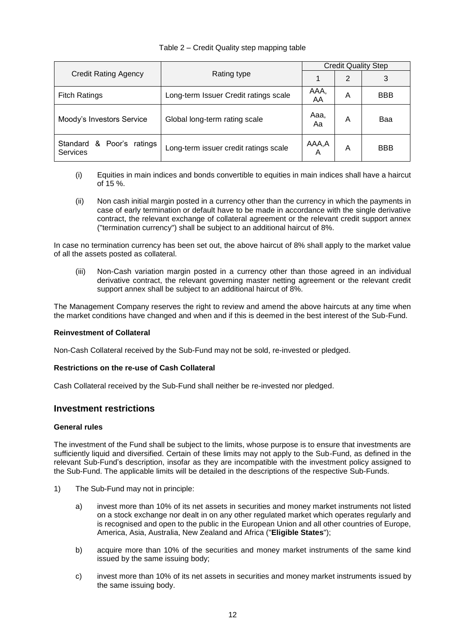### Table 2 – Credit Quality step mapping table

|                                                 |                                       | <b>Credit Quality Step</b> |   |            |  |
|-------------------------------------------------|---------------------------------------|----------------------------|---|------------|--|
| <b>Credit Rating Agency</b>                     | Rating type                           |                            | 2 | 3          |  |
| <b>Fitch Ratings</b>                            | Long-term Issuer Credit ratings scale | AAA,<br>AA                 | A | <b>BBB</b> |  |
| Moody's Investors Service                       | Global long-term rating scale         | Aaa.<br>Aa                 | A | Baa        |  |
| & Poor's ratings<br>Standard<br><b>Services</b> | Long-term issuer credit ratings scale | AAA,A<br>Α                 | A | <b>BBB</b> |  |

- (i) Equities in main indices and bonds convertible to equities in main indices shall have a haircut of 15 %.
- (ii) Non cash initial margin posted in a currency other than the currency in which the payments in case of early termination or default have to be made in accordance with the single derivative contract, the relevant exchange of collateral agreement or the relevant credit support annex ("termination currency") shall be subject to an additional haircut of 8%.

In case no termination currency has been set out, the above haircut of 8% shall apply to the market value of all the assets posted as collateral.

(iii) Non-Cash variation margin posted in a currency other than those agreed in an individual derivative contract, the relevant governing master netting agreement or the relevant credit support annex shall be subject to an additional haircut of 8%.

The Management Company reserves the right to review and amend the above haircuts at any time when the market conditions have changed and when and if this is deemed in the best interest of the Sub-Fund.

### **Reinvestment of Collateral**

Non-Cash Collateral received by the Sub-Fund may not be sold, re-invested or pledged.

### **Restrictions on the re-use of Cash Collateral**

Cash Collateral received by the Sub-Fund shall neither be re-invested nor pledged.

# <span id="page-11-0"></span>**Investment restrictions**

### **General rules**

The investment of the Fund shall be subject to the limits, whose purpose is to ensure that investments are sufficiently liquid and diversified. Certain of these limits may not apply to the Sub-Fund, as defined in the relevant Sub-Fund's description, insofar as they are incompatible with the investment policy assigned to the Sub-Fund. The applicable limits will be detailed in the descriptions of the respective Sub-Funds.

- 1) The Sub-Fund may not in principle:
	- a) invest more than 10% of its net assets in securities and money market instruments not listed on a stock exchange nor dealt in on any other regulated market which operates regularly and is recognised and open to the public in the European Union and all other countries of Europe, America, Asia, Australia, New Zealand and Africa ("**Eligible States**");
	- b) acquire more than 10% of the securities and money market instruments of the same kind issued by the same issuing body;
	- c) invest more than 10% of its net assets in securities and money market instruments issued by the same issuing body.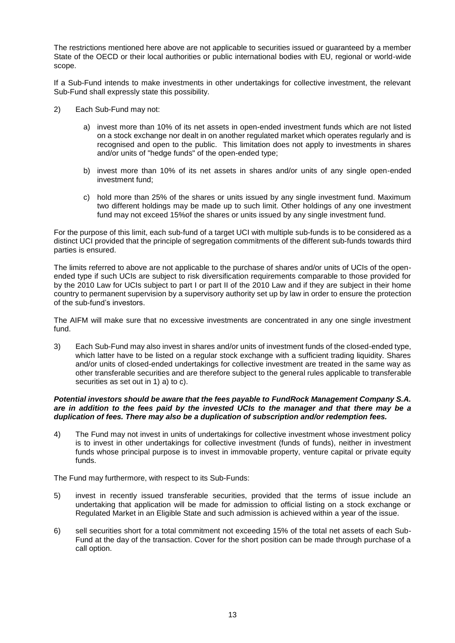The restrictions mentioned here above are not applicable to securities issued or guaranteed by a member State of the OECD or their local authorities or public international bodies with EU, regional or world-wide scope.

If a Sub-Fund intends to make investments in other undertakings for collective investment, the relevant Sub-Fund shall expressly state this possibility.

- 2) Each Sub-Fund may not:
	- a) invest more than 10% of its net assets in open-ended investment funds which are not listed on a stock exchange nor dealt in on another regulated market which operates regularly and is recognised and open to the public. This limitation does not apply to investments in shares and/or units of "hedge funds" of the open-ended type;
	- b) invest more than 10% of its net assets in shares and/or units of any single open-ended investment fund;
	- c) hold more than 25% of the shares or units issued by any single investment fund. Maximum two different holdings may be made up to such limit. Other holdings of any one investment fund may not exceed 15%of the shares or units issued by any single investment fund.

For the purpose of this limit, each sub-fund of a target UCI with multiple sub-funds is to be considered as a distinct UCI provided that the principle of segregation commitments of the different sub-funds towards third parties is ensured.

The limits referred to above are not applicable to the purchase of shares and/or units of UCIs of the openended type if such UCIs are subject to risk diversification requirements comparable to those provided for by the 2010 Law for UCIs subject to part I or part II of the 2010 Law and if they are subject in their home country to permanent supervision by a supervisory authority set up by law in order to ensure the protection of the sub-fund's investors.

The AIFM will make sure that no excessive investments are concentrated in any one single investment fund.

3) Each Sub-Fund may also invest in shares and/or units of investment funds of the closed-ended type, which latter have to be listed on a regular stock exchange with a sufficient trading liquidity. Shares and/or units of closed-ended undertakings for collective investment are treated in the same way as other transferable securities and are therefore subject to the general rules applicable to transferable securities as set out in 1) a) to c).

### *Potential investors should be aware that the fees payable to FundRock Management Company S.A. are in addition to the fees paid by the invested UCIs to the manager and that there may be a duplication of fees. There may also be a duplication of subscription and/or redemption fees.*

4) The Fund may not invest in units of undertakings for collective investment whose investment policy is to invest in other undertakings for collective investment (funds of funds), neither in investment funds whose principal purpose is to invest in immovable property, venture capital or private equity funds.

The Fund may furthermore, with respect to its Sub-Funds:

- 5) invest in recently issued transferable securities, provided that the terms of issue include an undertaking that application will be made for admission to official listing on a stock exchange or Regulated Market in an Eligible State and such admission is achieved within a year of the issue.
- 6) sell securities short for a total commitment not exceeding 15% of the total net assets of each Sub-Fund at the day of the transaction. Cover for the short position can be made through purchase of a call option.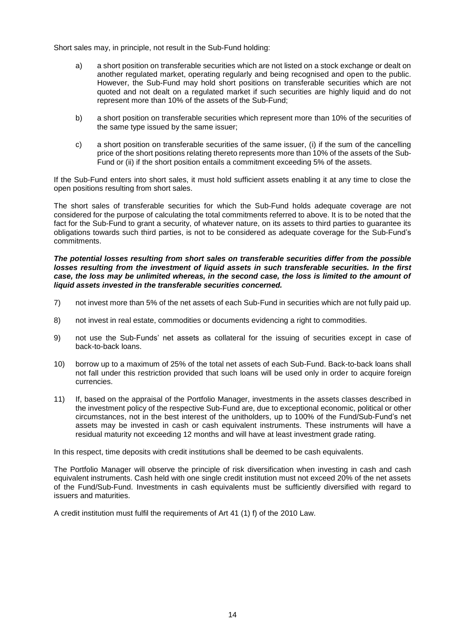Short sales may, in principle, not result in the Sub-Fund holding:

- a) a short position on transferable securities which are not listed on a stock exchange or dealt on another regulated market, operating regularly and being recognised and open to the public. However, the Sub-Fund may hold short positions on transferable securities which are not quoted and not dealt on a regulated market if such securities are highly liquid and do not represent more than 10% of the assets of the Sub-Fund;
- b) a short position on transferable securities which represent more than 10% of the securities of the same type issued by the same issuer;
- c) a short position on transferable securities of the same issuer, (i) if the sum of the cancelling price of the short positions relating thereto represents more than 10% of the assets of the Sub-Fund or (ii) if the short position entails a commitment exceeding 5% of the assets.

If the Sub-Fund enters into short sales, it must hold sufficient assets enabling it at any time to close the open positions resulting from short sales.

The short sales of transferable securities for which the Sub-Fund holds adequate coverage are not considered for the purpose of calculating the total commitments referred to above. It is to be noted that the fact for the Sub-Fund to grant a security, of whatever nature, on its assets to third parties to guarantee its obligations towards such third parties, is not to be considered as adequate coverage for the Sub-Fund's commitments.

*The potential losses resulting from short sales on transferable securities differ from the possible losses resulting from the investment of liquid assets in such transferable securities. In the first case, the loss may be unlimited whereas, in the second case, the loss is limited to the amount of liquid assets invested in the transferable securities concerned.*

- 7) not invest more than 5% of the net assets of each Sub-Fund in securities which are not fully paid up.
- 8) not invest in real estate, commodities or documents evidencing a right to commodities.
- 9) not use the Sub-Funds' net assets as collateral for the issuing of securities except in case of back-to-back loans.
- 10) borrow up to a maximum of 25% of the total net assets of each Sub-Fund. Back-to-back loans shall not fall under this restriction provided that such loans will be used only in order to acquire foreign currencies.
- 11) If, based on the appraisal of the Portfolio Manager, investments in the assets classes described in the investment policy of the respective Sub-Fund are, due to exceptional economic, political or other circumstances, not in the best interest of the unitholders, up to 100% of the Fund/Sub-Fund's net assets may be invested in cash or cash equivalent instruments. These instruments will have a residual maturity not exceeding 12 months and will have at least investment grade rating.

In this respect, time deposits with credit institutions shall be deemed to be cash equivalents.

The Portfolio Manager will observe the principle of risk diversification when investing in cash and cash equivalent instruments. Cash held with one single credit institution must not exceed 20% of the net assets of the Fund/Sub-Fund. Investments in cash equivalents must be sufficiently diversified with regard to issuers and maturities.

A credit institution must fulfil the requirements of Art 41 (1) f) of the 2010 Law.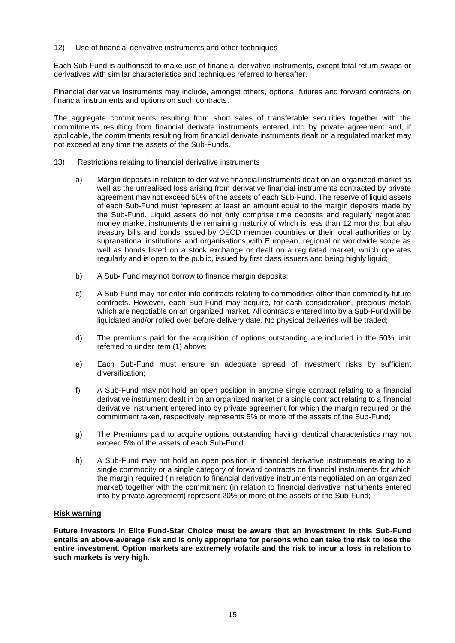12) Use of financial derivative instruments and other techniques

Each Sub-Fund is authorised to make use of financial derivative instruments, except total return swaps or derivatives with similar characteristics and techniques referred to hereafter.

Financial derivative instruments may include, amongst others, options, futures and forward contracts on financial instruments and options on such contracts.

The aggregate commitments resulting from short sales of transferable securities together with the commitments resulting from financial derivate instruments entered into by private agreement and, if applicable, the commitments resulting from financial derivate instruments dealt on a regulated market may not exceed at any time the assets of the Sub-Funds.

- 13) Restrictions relating to financial derivative instruments
	- a) Margin deposits in relation to derivative financial instruments dealt on an organized market as well as the unrealised loss arising from derivative financial instruments contracted by private agreement may not exceed 50% of the assets of each Sub-Fund. The reserve of liquid assets of each Sub-Fund must represent at least an amount equal to the margin deposits made by the Sub-Fund. Liquid assets do not only comprise time deposits and regularly negotiated money market instruments the remaining maturity of which is less than 12 months, but also treasury bills and bonds issued by OECD member countries or their local authorities or by supranational institutions and organisations with European, regional or worldwide scope as well as bonds listed on a stock exchange or dealt on a regulated market, which operates regularly and is open to the public, issued by first class issuers and being highly liquid;
	- b) A Sub- Fund may not borrow to finance margin deposits;
	- c) A Sub-Fund may not enter into contracts relating to commodities other than commodity future contracts. However, each Sub-Fund may acquire, for cash consideration, precious metals which are negotiable on an organized market. All contracts entered into by a Sub-Fund will be liquidated and/or rolled over before delivery date. No physical deliveries will be traded;
	- d) The premiums paid for the acquisition of options outstanding are included in the 50% limit referred to under item (1) above;
	- e) Each Sub-Fund must ensure an adequate spread of investment risks by sufficient diversification;
	- f) A Sub-Fund may not hold an open position in anyone single contract relating to a financial derivative instrument dealt in on an organized market or a single contract relating to a financial derivative instrument entered into by private agreement for which the margin required or the commitment taken, respectively, represents 5% or more of the assets of the Sub-Fund;
	- g) The Premiums paid to acquire options outstanding having identical characteristics may not exceed 5% of the assets of each Sub-Fund;
	- h) A Sub-Fund may not hold an open position in financial derivative instruments relating to a single commodity or a single category of forward contracts on financial instruments for which the margin required (in relation to financial derivative instruments negotiated on an organized market) together with the commitment (in relation to financial derivative instruments entered into by private agreement) represent 20% or more of the assets of the Sub-Fund;

### **Risk warning**

**Future investors in Elite Fund-Star Choice must be aware that an investment in this Sub-Fund entails an above-average risk and is only appropriate for persons who can take the risk to lose the entire investment. Option markets are extremely volatile and the risk to incur a loss in relation to such markets is very high.**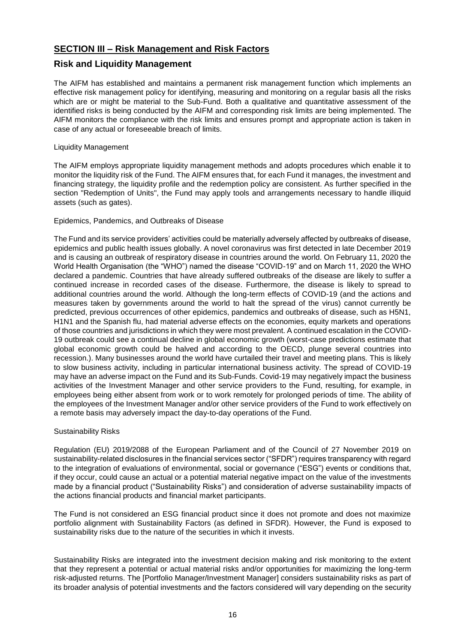# <span id="page-15-0"></span>**SECTION III – Risk Management and Risk Factors**

# <span id="page-15-1"></span>**Risk and Liquidity Management**

The AIFM has established and maintains a permanent risk management function which implements an effective risk management policy for identifying, measuring and monitoring on a regular basis all the risks which are or might be material to the Sub-Fund. Both a qualitative and quantitative assessment of the identified risks is being conducted by the AIFM and corresponding risk limits are being implemented. The AIFM monitors the compliance with the risk limits and ensures prompt and appropriate action is taken in case of any actual or foreseeable breach of limits.

### Liquidity Management

The AIFM employs appropriate liquidity management methods and adopts procedures which enable it to monitor the liquidity risk of the Fund. The AIFM ensures that, for each Fund it manages, the investment and financing strategy, the liquidity profile and the redemption policy are consistent. As further specified in the section "Redemption of Units", the Fund may apply tools and arrangements necessary to handle illiquid assets (such as gates).

### Epidemics, Pandemics, and Outbreaks of Disease

The Fund and its service providers' activities could be materially adversely affected by outbreaks of disease, epidemics and public health issues globally. A novel coronavirus was first detected in late December 2019 and is causing an outbreak of respiratory disease in countries around the world. On February 11, 2020 the World Health Organisation (the "WHO") named the disease "COVID-19" and on March 11, 2020 the WHO declared a pandemic. Countries that have already suffered outbreaks of the disease are likely to suffer a continued increase in recorded cases of the disease. Furthermore, the disease is likely to spread to additional countries around the world. Although the long-term effects of COVID-19 (and the actions and measures taken by governments around the world to halt the spread of the virus) cannot currently be predicted, previous occurrences of other epidemics, pandemics and outbreaks of disease, such as H5N1, H1N1 and the Spanish flu, had material adverse effects on the economies, equity markets and operations of those countries and jurisdictions in which they were most prevalent. A continued escalation in the COVID-19 outbreak could see a continual decline in global economic growth (worst-case predictions estimate that global economic growth could be halved and according to the OECD, plunge several countries into recession.). Many businesses around the world have curtailed their travel and meeting plans. This is likely to slow business activity, including in particular international business activity. The spread of COVID-19 may have an adverse impact on the Fund and its Sub-Funds. Covid-19 may negatively impact the business activities of the Investment Manager and other service providers to the Fund, resulting, for example, in employees being either absent from work or to work remotely for prolonged periods of time. The ability of the employees of the Investment Manager and/or other service providers of the Fund to work effectively on a remote basis may adversely impact the day-to-day operations of the Fund.

### Sustainability Risks

Regulation (EU) 2019/2088 of the European Parliament and of the Council of 27 November 2019 on sustainability-related disclosures in the financial services sector ("SFDR") requires transparency with regard to the integration of evaluations of environmental, social or governance ("ESG") events or conditions that, if they occur, could cause an actual or a potential material negative impact on the value of the investments made by a financial product ("Sustainability Risks") and consideration of adverse sustainability impacts of the actions financial products and financial market participants.

The Fund is not considered an ESG financial product since it does not promote and does not maximize portfolio alignment with Sustainability Factors (as defined in SFDR). However, the Fund is exposed to sustainability risks due to the nature of the securities in which it invests.

Sustainability Risks are integrated into the investment decision making and risk monitoring to the extent that they represent a potential or actual material risks and/or opportunities for maximizing the long-term risk-adjusted returns. The [Portfolio Manager/Investment Manager] considers sustainability risks as part of its broader analysis of potential investments and the factors considered will vary depending on the security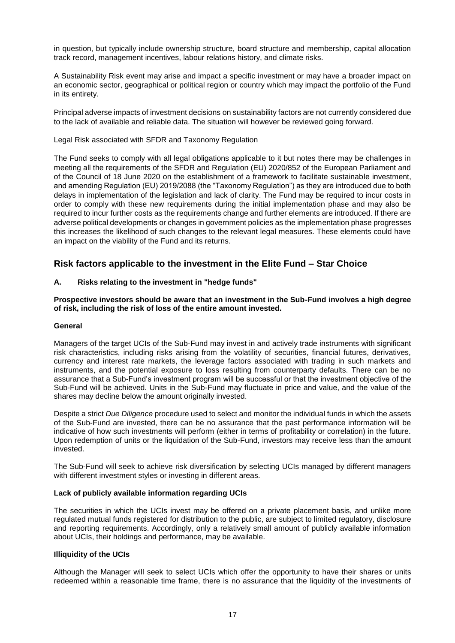in question, but typically include ownership structure, board structure and membership, capital allocation track record, management incentives, labour relations history, and climate risks.

A Sustainability Risk event may arise and impact a specific investment or may have a broader impact on an economic sector, geographical or political region or country which may impact the portfolio of the Fund in its entirety.

Principal adverse impacts of investment decisions on sustainability factors are not currently considered due to the lack of available and reliable data. The situation will however be reviewed going forward.

### Legal Risk associated with SFDR and Taxonomy Regulation

The Fund seeks to comply with all legal obligations applicable to it but notes there may be challenges in meeting all the requirements of the SFDR and Regulation (EU) 2020/852 of the European Parliament and of the Council of 18 June 2020 on the establishment of a framework to facilitate sustainable investment, and amending Regulation (EU) 2019/2088 (the "Taxonomy Regulation") as they are introduced due to both delays in implementation of the legislation and lack of clarity. The Fund may be required to incur costs in order to comply with these new requirements during the initial implementation phase and may also be required to incur further costs as the requirements change and further elements are introduced. If there are adverse political developments or changes in government policies as the implementation phase progresses this increases the likelihood of such changes to the relevant legal measures. These elements could have an impact on the viability of the Fund and its returns.

# <span id="page-16-0"></span>**Risk factors applicable to the investment in the Elite Fund – Star Choice**

### **A. Risks relating to the investment in "hedge funds"**

**Prospective investors should be aware that an investment in the Sub-Fund involves a high degree of risk, including the risk of loss of the entire amount invested.** 

### **General**

Managers of the target UCIs of the Sub-Fund may invest in and actively trade instruments with significant risk characteristics, including risks arising from the volatility of securities, financial futures, derivatives, currency and interest rate markets, the leverage factors associated with trading in such markets and instruments, and the potential exposure to loss resulting from counterparty defaults. There can be no assurance that a Sub-Fund's investment program will be successful or that the investment objective of the Sub-Fund will be achieved. Units in the Sub-Fund may fluctuate in price and value, and the value of the shares may decline below the amount originally invested.

Despite a strict *Due Diligence* procedure used to select and monitor the individual funds in which the assets of the Sub-Fund are invested, there can be no assurance that the past performance information will be indicative of how such investments will perform (either in terms of profitability or correlation) in the future. Upon redemption of units or the liquidation of the Sub-Fund, investors may receive less than the amount invested.

The Sub-Fund will seek to achieve risk diversification by selecting UCIs managed by different managers with different investment styles or investing in different areas.

### **Lack of publicly available information regarding UCIs**

The securities in which the UCIs invest may be offered on a private placement basis, and unlike more regulated mutual funds registered for distribution to the public, are subject to limited regulatory, disclosure and reporting requirements. Accordingly, only a relatively small amount of publicly available information about UCIs, their holdings and performance, may be available.

### **Illiquidity of the UCIs**

Although the Manager will seek to select UCIs which offer the opportunity to have their shares or units redeemed within a reasonable time frame, there is no assurance that the liquidity of the investments of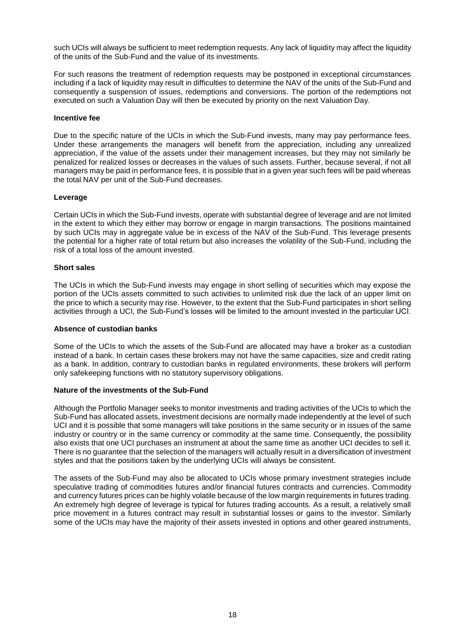such UCIs will always be sufficient to meet redemption requests. Any lack of liquidity may affect the liquidity of the units of the Sub-Fund and the value of its investments.

For such reasons the treatment of redemption requests may be postponed in exceptional circumstances including if a lack of liquidity may result in difficulties to determine the NAV of the units of the Sub-Fund and consequently a suspension of issues, redemptions and conversions. The portion of the redemptions not executed on such a Valuation Day will then be executed by priority on the next Valuation Day.

### **Incentive fee**

Due to the specific nature of the UCIs in which the Sub-Fund invests, many may pay performance fees. Under these arrangements the managers will benefit from the appreciation, including any unrealized appreciation, if the value of the assets under their management increases, but they may not similarly be penalized for realized losses or decreases in the values of such assets. Further, because several, if not all managers may be paid in performance fees, it is possible that in a given year such fees will be paid whereas the total NAV per unit of the Sub-Fund decreases.

### **Leverage**

Certain UCIs in which the Sub-Fund invests, operate with substantial degree of leverage and are not limited in the extent to which they either may borrow or engage in margin transactions. The positions maintained by such UCIs may in aggregate value be in excess of the NAV of the Sub-Fund. This leverage presents the potential for a higher rate of total return but also increases the volatility of the Sub-Fund, including the risk of a total loss of the amount invested.

### **Short sales**

The UCIs in which the Sub-Fund invests may engage in short selling of securities which may expose the portion of the UCIs assets committed to such activities to unlimited risk due the lack of an upper limit on the price to which a security may rise. However, to the extent that the Sub-Fund participates in short selling activities through a UCI, the Sub-Fund's losses will be limited to the amount invested in the particular UCI.

### **Absence of custodian banks**

Some of the UCIs to which the assets of the Sub-Fund are allocated may have a broker as a custodian instead of a bank. In certain cases these brokers may not have the same capacities, size and credit rating as a bank. In addition, contrary to custodian banks in regulated environments, these brokers will perform only safekeeping functions with no statutory supervisory obligations.

### **Nature of the investments of the Sub-Fund**

Although the Portfolio Manager seeks to monitor investments and trading activities of the UCIs to which the Sub-Fund has allocated assets, investment decisions are normally made independently at the level of such UCI and it is possible that some managers will take positions in the same security or in issues of the same industry or country or in the same currency or commodity at the same time. Consequently, the possibility also exists that one UCI purchases an instrument at about the same time as another UCI decides to sell it. There is no guarantee that the selection of the managers will actually result in a diversification of investment styles and that the positions taken by the underlying UCIs will always be consistent.

The assets of the Sub-Fund may also be allocated to UCIs whose primary investment strategies include speculative trading of commodities futures and/or financial futures contracts and currencies. Commodity and currency futures prices can be highly volatile because of the low margin requirements in futures trading. An extremely high degree of leverage is typical for futures trading accounts. As a result, a relatively small price movement in a futures contract may result in substantial losses or gains to the investor. Similarly some of the UCIs may have the majority of their assets invested in options and other geared instruments,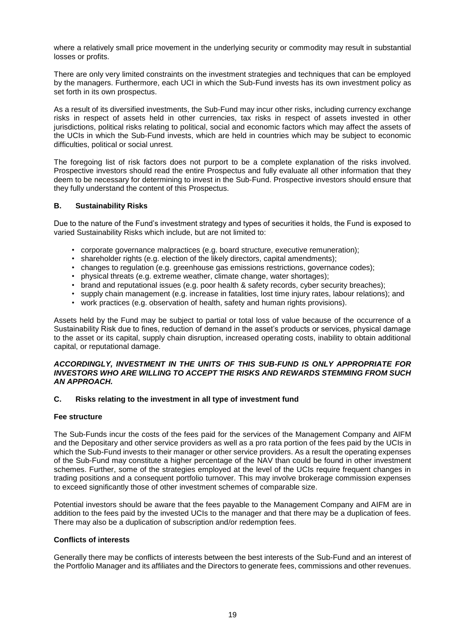where a relatively small price movement in the underlying security or commodity may result in substantial losses or profits.

There are only very limited constraints on the investment strategies and techniques that can be employed by the managers. Furthermore, each UCI in which the Sub-Fund invests has its own investment policy as set forth in its own prospectus.

As a result of its diversified investments, the Sub-Fund may incur other risks, including currency exchange risks in respect of assets held in other currencies, tax risks in respect of assets invested in other jurisdictions, political risks relating to political, social and economic factors which may affect the assets of the UCIs in which the Sub-Fund invests, which are held in countries which may be subject to economic difficulties, political or social unrest.

The foregoing list of risk factors does not purport to be a complete explanation of the risks involved. Prospective investors should read the entire Prospectus and fully evaluate all other information that they deem to be necessary for determining to invest in the Sub-Fund. Prospective investors should ensure that they fully understand the content of this Prospectus.

### **B. Sustainability Risks**

Due to the nature of the Fund's investment strategy and types of securities it holds, the Fund is exposed to varied Sustainability Risks which include, but are not limited to:

- corporate governance malpractices (e.g. board structure, executive remuneration);
- shareholder rights (e.g. election of the likely directors, capital amendments);
- changes to regulation (e.g. greenhouse gas emissions restrictions, governance codes);
- physical threats (e.g. extreme weather, climate change, water shortages);
- brand and reputational issues (e.g. poor health & safety records, cyber security breaches);
- supply chain management (e.g. increase in fatalities, lost time injury rates, labour relations); and
- work practices (e.g. observation of health, safety and human rights provisions).

Assets held by the Fund may be subject to partial or total loss of value because of the occurrence of a Sustainability Risk due to fines, reduction of demand in the asset's products or services, physical damage to the asset or its capital, supply chain disruption, increased operating costs, inability to obtain additional capital, or reputational damage.

### *ACCORDINGLY, INVESTMENT IN THE UNITS OF THIS SUB-FUND IS ONLY APPROPRIATE FOR INVESTORS WHO ARE WILLING TO ACCEPT THE RISKS AND REWARDS STEMMING FROM SUCH AN APPROACH.*

### **C. Risks relating to the investment in all type of investment fund**

### **Fee structure**

The Sub-Funds incur the costs of the fees paid for the services of the Management Company and AIFM and the Depositary and other service providers as well as a pro rata portion of the fees paid by the UCIs in which the Sub-Fund invests to their manager or other service providers. As a result the operating expenses of the Sub-Fund may constitute a higher percentage of the NAV than could be found in other investment schemes. Further, some of the strategies employed at the level of the UCIs require frequent changes in trading positions and a consequent portfolio turnover. This may involve brokerage commission expenses to exceed significantly those of other investment schemes of comparable size.

Potential investors should be aware that the fees payable to the Management Company and AIFM are in addition to the fees paid by the invested UCIs to the manager and that there may be a duplication of fees. There may also be a duplication of subscription and/or redemption fees.

### **Conflicts of interests**

Generally there may be conflicts of interests between the best interests of the Sub-Fund and an interest of the Portfolio Manager and its affiliates and the Directors to generate fees, commissions and other revenues.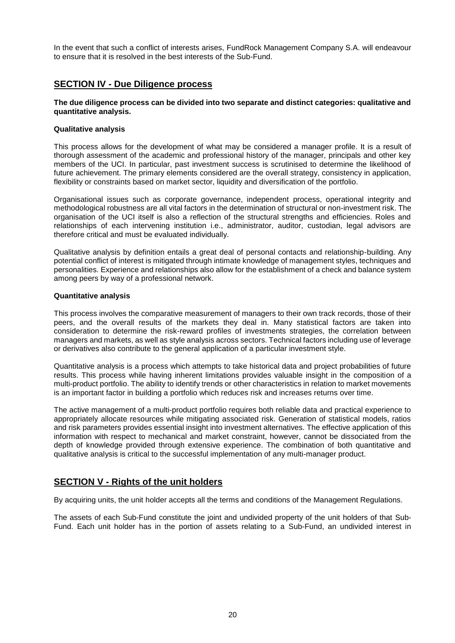In the event that such a conflict of interests arises, FundRock Management Company S.A. will endeavour to ensure that it is resolved in the best interests of the Sub-Fund.

# <span id="page-19-0"></span>**SECTION IV - Due Diligence process**

### **The due diligence process can be divided into two separate and distinct categories: qualitative and quantitative analysis.**

### **Qualitative analysis**

This process allows for the development of what may be considered a manager profile. It is a result of thorough assessment of the academic and professional history of the manager, principals and other key members of the UCI. In particular, past investment success is scrutinised to determine the likelihood of future achievement. The primary elements considered are the overall strategy, consistency in application, flexibility or constraints based on market sector, liquidity and diversification of the portfolio.

Organisational issues such as corporate governance, independent process, operational integrity and methodological robustness are all vital factors in the determination of structural or non-investment risk. The organisation of the UCI itself is also a reflection of the structural strengths and efficiencies. Roles and relationships of each intervening institution i.e., administrator, auditor, custodian, legal advisors are therefore critical and must be evaluated individually.

Qualitative analysis by definition entails a great deal of personal contacts and relationship-building. Any potential conflict of interest is mitigated through intimate knowledge of management styles, techniques and personalities. Experience and relationships also allow for the establishment of a check and balance system among peers by way of a professional network.

### **Quantitative analysis**

This process involves the comparative measurement of managers to their own track records, those of their peers, and the overall results of the markets they deal in. Many statistical factors are taken into consideration to determine the risk-reward profiles of investments strategies, the correlation between managers and markets, as well as style analysis across sectors. Technical factors including use of leverage or derivatives also contribute to the general application of a particular investment style.

Quantitative analysis is a process which attempts to take historical data and project probabilities of future results. This process while having inherent limitations provides valuable insight in the composition of a multi-product portfolio. The ability to identify trends or other characteristics in relation to market movements is an important factor in building a portfolio which reduces risk and increases returns over time.

The active management of a multi-product portfolio requires both reliable data and practical experience to appropriately allocate resources while mitigating associated risk. Generation of statistical models, ratios and risk parameters provides essential insight into investment alternatives. The effective application of this information with respect to mechanical and market constraint, however, cannot be dissociated from the depth of knowledge provided through extensive experience. The combination of both quantitative and qualitative analysis is critical to the successful implementation of any multi-manager product.

# <span id="page-19-1"></span>**SECTION V - Rights of the unit holders**

By acquiring units, the unit holder accepts all the terms and conditions of the Management Regulations.

The assets of each Sub-Fund constitute the joint and undivided property of the unit holders of that Sub-Fund. Each unit holder has in the portion of assets relating to a Sub-Fund, an undivided interest in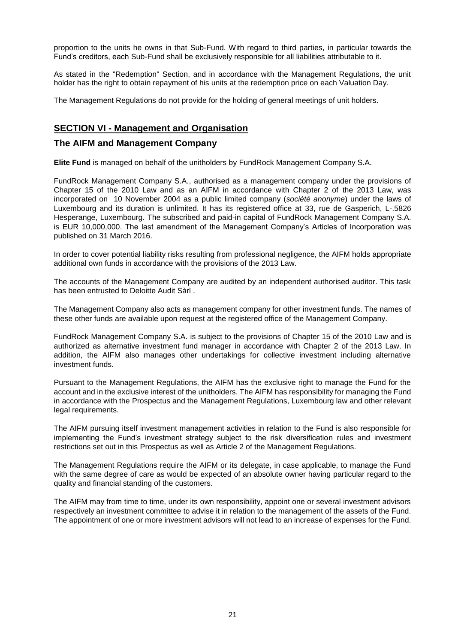proportion to the units he owns in that Sub-Fund. With regard to third parties, in particular towards the Fund's creditors, each Sub-Fund shall be exclusively responsible for all liabilities attributable to it.

As stated in the "Redemption" Section, and in accordance with the Management Regulations, the unit holder has the right to obtain repayment of his units at the redemption price on each Valuation Day.

The Management Regulations do not provide for the holding of general meetings of unit holders.

# <span id="page-20-0"></span>**SECTION VI - Management and Organisation**

# <span id="page-20-1"></span>**The AIFM and Management Company**

**Elite Fund** is managed on behalf of the unitholders by FundRock Management Company S.A.

FundRock Management Company S.A., authorised as a management company under the provisions of Chapter 15 of the 2010 Law and as an AIFM in accordance with Chapter 2 of the 2013 Law, was incorporated on 10 November 2004 as a public limited company (*société anonyme*) under the laws of Luxembourg and its duration is unlimited. It has its registered office at 33, rue de Gasperich, L-.5826 Hesperange, Luxembourg. The subscribed and paid-in capital of FundRock Management Company S.A. is EUR 10,000,000. The last amendment of the Management Company's Articles of Incorporation was published on 31 March 2016.

In order to cover potential liability risks resulting from professional negligence, the AIFM holds appropriate additional own funds in accordance with the provisions of the 2013 Law.

The accounts of the Management Company are audited by an independent authorised auditor. This task has been entrusted to Deloitte Audit Sàrl .

The Management Company also acts as management company for other investment funds. The names of these other funds are available upon request at the registered office of the Management Company.

FundRock Management Company S.A. is subject to the provisions of Chapter 15 of the 2010 Law and is authorized as alternative investment fund manager in accordance with Chapter 2 of the 2013 Law. In addition, the AIFM also manages other undertakings for collective investment including alternative investment funds.

Pursuant to the Management Regulations, the AIFM has the exclusive right to manage the Fund for the account and in the exclusive interest of the unitholders. The AIFM has responsibility for managing the Fund in accordance with the Prospectus and the Management Regulations, Luxembourg law and other relevant legal requirements.

The AIFM pursuing itself investment management activities in relation to the Fund is also responsible for implementing the Fund's investment strategy subject to the risk diversification rules and investment restrictions set out in this Prospectus as well as Article 2 of the Management Regulations.

The Management Regulations require the AIFM or its delegate, in case applicable, to manage the Fund with the same degree of care as would be expected of an absolute owner having particular regard to the quality and financial standing of the customers.

The AIFM may from time to time, under its own responsibility, appoint one or several investment advisors respectively an investment committee to advise it in relation to the management of the assets of the Fund. The appointment of one or more investment advisors will not lead to an increase of expenses for the Fund.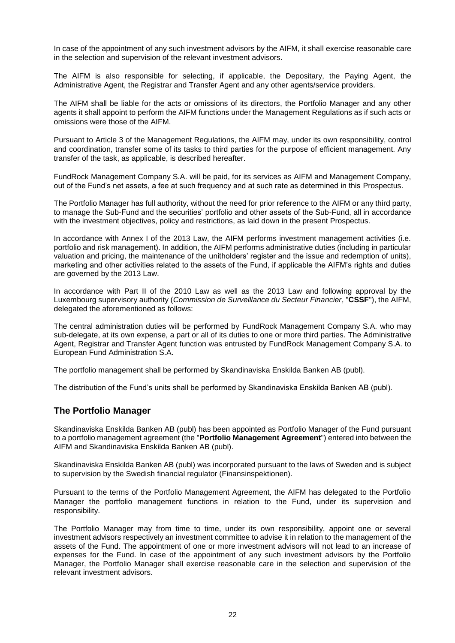In case of the appointment of any such investment advisors by the AIFM, it shall exercise reasonable care in the selection and supervision of the relevant investment advisors.

The AIFM is also responsible for selecting, if applicable, the Depositary, the Paying Agent, the Administrative Agent, the Registrar and Transfer Agent and any other agents/service providers.

The AIFM shall be liable for the acts or omissions of its directors, the Portfolio Manager and any other agents it shall appoint to perform the AIFM functions under the Management Regulations as if such acts or omissions were those of the AIFM.

Pursuant to Article 3 of the Management Regulations, the AIFM may, under its own responsibility, control and coordination, transfer some of its tasks to third parties for the purpose of efficient management. Any transfer of the task, as applicable, is described hereafter.

FundRock Management Company S.A. will be paid, for its services as AIFM and Management Company, out of the Fund's net assets, a fee at such frequency and at such rate as determined in this Prospectus.

The Portfolio Manager has full authority, without the need for prior reference to the AIFM or any third party, to manage the Sub-Fund and the securities' portfolio and other assets of the Sub-Fund, all in accordance with the investment objectives, policy and restrictions, as laid down in the present Prospectus.

In accordance with Annex I of the 2013 Law, the AIFM performs investment management activities (i.e. portfolio and risk management). In addition, the AIFM performs administrative duties (including in particular valuation and pricing, the maintenance of the unitholders' register and the issue and redemption of units), marketing and other activities related to the assets of the Fund, if applicable the AIFM's rights and duties are governed by the 2013 Law.

In accordance with Part II of the 2010 Law as well as the 2013 Law and following approval by the Luxembourg supervisory authority (*Commission de Surveillance du Secteur Financier*, "**CSSF**"), the AIFM, delegated the aforementioned as follows:

The central administration duties will be performed by FundRock Management Company S.A. who may sub-delegate, at its own expense, a part or all of its duties to one or more third parties. The Administrative Agent, Registrar and Transfer Agent function was entrusted by FundRock Management Company S.A. to European Fund Administration S.A.

The portfolio management shall be performed by Skandinaviska Enskilda Banken AB (publ).

The distribution of the Fund's units shall be performed by Skandinaviska Enskilda Banken AB (publ).

# <span id="page-21-0"></span>**The Portfolio Manager**

Skandinaviska Enskilda Banken AB (publ) has been appointed as Portfolio Manager of the Fund pursuant to a portfolio management agreement (the "**Portfolio Management Agreement**") entered into between the AIFM and Skandinaviska Enskilda Banken AB (publ).

Skandinaviska Enskilda Banken AB (publ) was incorporated pursuant to the laws of Sweden and is subject to supervision by the Swedish financial regulator (Finansinspektionen).

Pursuant to the terms of the Portfolio Management Agreement, the AIFM has delegated to the Portfolio Manager the portfolio management functions in relation to the Fund, under its supervision and responsibility.

The Portfolio Manager may from time to time, under its own responsibility, appoint one or several investment advisors respectively an investment committee to advise it in relation to the management of the assets of the Fund. The appointment of one or more investment advisors will not lead to an increase of expenses for the Fund. In case of the appointment of any such investment advisors by the Portfolio Manager, the Portfolio Manager shall exercise reasonable care in the selection and supervision of the relevant investment advisors.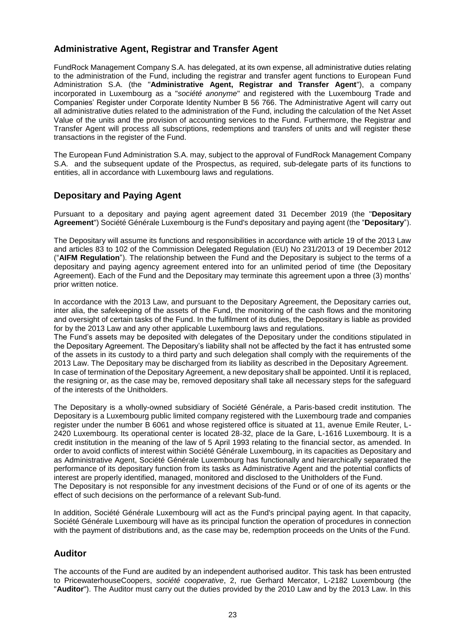# <span id="page-22-0"></span>**Administrative Agent, Registrar and Transfer Agent**

FundRock Management Company S.A. has delegated, at its own expense, all administrative duties relating to the administration of the Fund, including the registrar and transfer agent functions to European Fund Administration S.A. (the "**Administrative Agent, Registrar and Transfer Agent**"), a company incorporated in Luxembourg as a "*société anonyme*" and registered with the Luxembourg Trade and Companies' Register under Corporate Identity Number B 56 766. The Administrative Agent will carry out all administrative duties related to the administration of the Fund, including the calculation of the Net Asset Value of the units and the provision of accounting services to the Fund. Furthermore, the Registrar and Transfer Agent will process all subscriptions, redemptions and transfers of units and will register these transactions in the register of the Fund.

The European Fund Administration S.A. may, subject to the approval of FundRock Management Company S.A. and the subsequent update of the Prospectus, as required, sub-delegate parts of its functions to entities, all in accordance with Luxembourg laws and regulations.

# <span id="page-22-1"></span>**Depositary and Paying Agent**

Pursuant to a depositary and paying agent agreement dated 31 December 2019 (the "**Depositary Agreement**") Société Générale Luxembourg is the Fund's depositary and paying agent (the "**Depositary**").

The Depositary will assume its functions and responsibilities in accordance with article 19 of the 2013 Law and articles 83 to 102 of the Commission Delegated Regulation (EU) No 231/2013 of 19 December 2012 ("**AIFM Regulation**"). The relationship between the Fund and the Depositary is subject to the terms of a depositary and paying agency agreement entered into for an unlimited period of time (the Depositary Agreement). Each of the Fund and the Depositary may terminate this agreement upon a three (3) months' prior written notice.

In accordance with the 2013 Law, and pursuant to the Depositary Agreement, the Depositary carries out, inter alia, the safekeeping of the assets of the Fund, the monitoring of the cash flows and the monitoring and oversight of certain tasks of the Fund. In the fulfilment of its duties, the Depositary is liable as provided for by the 2013 Law and any other applicable Luxembourg laws and regulations.

The Fund's assets may be deposited with delegates of the Depositary under the conditions stipulated in the Depositary Agreement. The Depositary's liability shall not be affected by the fact it has entrusted some of the assets in its custody to a third party and such delegation shall comply with the requirements of the 2013 Law. The Depositary may be discharged from its liability as described in the Depositary Agreement. In case of termination of the Depositary Agreement, a new depositary shall be appointed. Until it is replaced, the resigning or, as the case may be, removed depositary shall take all necessary steps for the safeguard

of the interests of the Unitholders.

The Depositary is a wholly-owned subsidiary of Société Générale, a Paris-based credit institution. The Depositary is a Luxembourg public limited company registered with the Luxembourg trade and companies register under the number B 6061 and whose registered office is situated at 11, avenue Emile Reuter, L-2420 Luxembourg. Its operational center is located 28-32, place de la Gare, L-1616 Luxembourg. It is a credit institution in the meaning of the law of 5 April 1993 relating to the financial sector, as amended. In order to avoid conflicts of interest within Société Générale Luxembourg, in its capacities as Depositary and as Administrative Agent, Société Générale Luxembourg has functionally and hierarchically separated the performance of its depositary function from its tasks as Administrative Agent and the potential conflicts of interest are properly identified, managed, monitored and disclosed to the Unitholders of the Fund. The Depositary is not responsible for any investment decisions of the Fund or of one of its agents or the effect of such decisions on the performance of a relevant Sub-fund.

In addition, Société Générale Luxembourg will act as the Fund's principal paying agent. In that capacity, Société Générale Luxembourg will have as its principal function the operation of procedures in connection with the payment of distributions and, as the case may be, redemption proceeds on the Units of the Fund.

# <span id="page-22-2"></span>**Auditor**

The accounts of the Fund are audited by an independent authorised auditor. This task has been entrusted to PricewaterhouseCoopers, *société cooperative*, 2, rue Gerhard Mercator, L-2182 Luxembourg (the "**Auditor**"). The Auditor must carry out the duties provided by the 2010 Law and by the 2013 Law. In this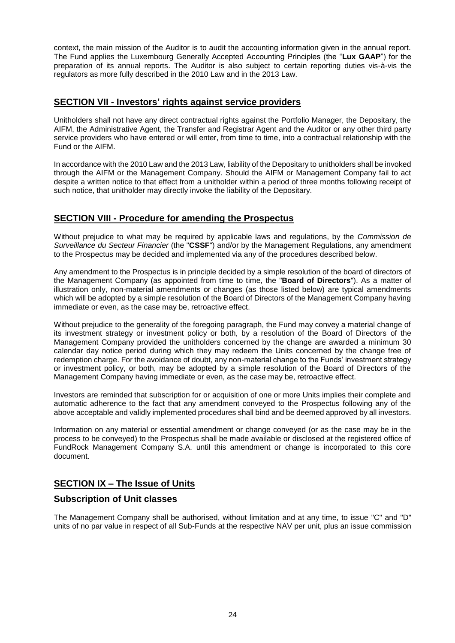context, the main mission of the Auditor is to audit the accounting information given in the annual report. The Fund applies the Luxembourg Generally Accepted Accounting Principles (the "**Lux GAAP**") for the preparation of its annual reports. The Auditor is also subject to certain reporting duties vis-à-vis the regulators as more fully described in the 2010 Law and in the 2013 Law.

# <span id="page-23-0"></span>**SECTION VII - Investors' rights against service providers**

Unitholders shall not have any direct contractual rights against the Portfolio Manager, the Depositary, the AIFM, the Administrative Agent, the Transfer and Registrar Agent and the Auditor or any other third party service providers who have entered or will enter, from time to time, into a contractual relationship with the Fund or the AIFM.

In accordance with the 2010 Law and the 2013 Law, liability of the Depositary to unitholders shall be invoked through the AIFM or the Management Company. Should the AIFM or Management Company fail to act despite a written notice to that effect from a unitholder within a period of three months following receipt of such notice, that unitholder may directly invoke the liability of the Depositary.

# <span id="page-23-1"></span>**SECTION VIII - Procedure for amending the Prospectus**

Without prejudice to what may be required by applicable laws and regulations, by the *Commission de Surveillance du Secteur Financier* (the "**CSSF**") and/or by the Management Regulations, any amendment to the Prospectus may be decided and implemented via any of the procedures described below.

Any amendment to the Prospectus is in principle decided by a simple resolution of the board of directors of the Management Company (as appointed from time to time, the "**Board of Directors**"). As a matter of illustration only, non-material amendments or changes (as those listed below) are typical amendments which will be adopted by a simple resolution of the Board of Directors of the Management Company having immediate or even, as the case may be, retroactive effect.

Without prejudice to the generality of the foregoing paragraph, the Fund may convey a material change of its investment strategy or investment policy or both, by a resolution of the Board of Directors of the Management Company provided the unitholders concerned by the change are awarded a minimum 30 calendar day notice period during which they may redeem the Units concerned by the change free of redemption charge. For the avoidance of doubt, any non-material change to the Funds' investment strategy or investment policy, or both, may be adopted by a simple resolution of the Board of Directors of the Management Company having immediate or even, as the case may be, retroactive effect.

Investors are reminded that subscription for or acquisition of one or more Units implies their complete and automatic adherence to the fact that any amendment conveyed to the Prospectus following any of the above acceptable and validly implemented procedures shall bind and be deemed approved by all investors.

Information on any material or essential amendment or change conveyed (or as the case may be in the process to be conveyed) to the Prospectus shall be made available or disclosed at the registered office of FundRock Management Company S.A. until this amendment or change is incorporated to this core document.

# <span id="page-23-2"></span>**SECTION IX – The Issue of Units**

# <span id="page-23-3"></span>**Subscription of Unit classes**

The Management Company shall be authorised, without limitation and at any time, to issue "C" and "D" units of no par value in respect of all Sub-Funds at the respective NAV per unit, plus an issue commission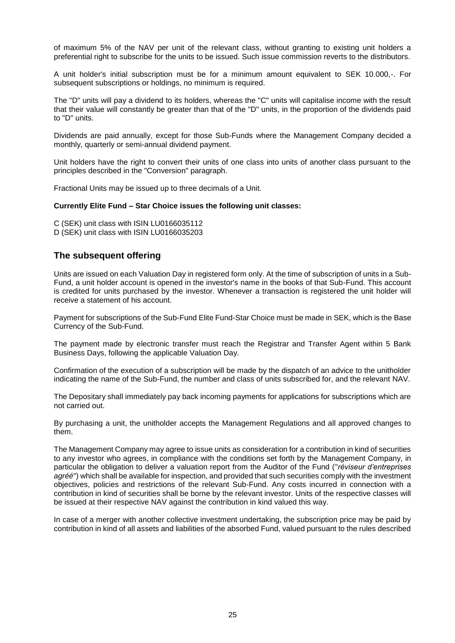of maximum 5% of the NAV per unit of the relevant class, without granting to existing unit holders a preferential right to subscribe for the units to be issued. Such issue commission reverts to the distributors.

A unit holder's initial subscription must be for a minimum amount equivalent to SEK 10.000,-. For subsequent subscriptions or holdings, no minimum is required.

The "D" units will pay a dividend to its holders, whereas the "C" units will capitalise income with the result that their value will constantly be greater than that of the "D" units, in the proportion of the dividends paid to "D" units.

Dividends are paid annually, except for those Sub-Funds where the Management Company decided a monthly, quarterly or semi-annual dividend payment.

Unit holders have the right to convert their units of one class into units of another class pursuant to the principles described in the "Conversion" paragraph.

Fractional Units may be issued up to three decimals of a Unit.

### **Currently Elite Fund – Star Choice issues the following unit classes:**

C (SEK) unit class with ISIN LU0166035112

D (SEK) unit class with ISIN LU0166035203

### <span id="page-24-0"></span>**The subsequent offering**

Units are issued on each Valuation Day in registered form only. At the time of subscription of units in a Sub-Fund, a unit holder account is opened in the investor's name in the books of that Sub-Fund. This account is credited for units purchased by the investor. Whenever a transaction is registered the unit holder will receive a statement of his account.

Payment for subscriptions of the Sub-Fund Elite Fund-Star Choice must be made in SEK, which is the Base Currency of the Sub-Fund.

The payment made by electronic transfer must reach the Registrar and Transfer Agent within 5 Bank Business Days, following the applicable Valuation Day.

Confirmation of the execution of a subscription will be made by the dispatch of an advice to the unitholder indicating the name of the Sub-Fund, the number and class of units subscribed for, and the relevant NAV.

The Depositary shall immediately pay back incoming payments for applications for subscriptions which are not carried out.

By purchasing a unit, the unitholder accepts the Management Regulations and all approved changes to them.

The Management Company may agree to issue units as consideration for a contribution in kind of securities to any investor who agrees, in compliance with the conditions set forth by the Management Company, in particular the obligation to deliver a valuation report from the Auditor of the Fund ("*réviseur d'entreprises agréé*") which shall be available for inspection, and provided that such securities comply with the investment objectives, policies and restrictions of the relevant Sub-Fund. Any costs incurred in connection with a contribution in kind of securities shall be borne by the relevant investor. Units of the respective classes will be issued at their respective NAV against the contribution in kind valued this way.

In case of a merger with another collective investment undertaking, the subscription price may be paid by contribution in kind of all assets and liabilities of the absorbed Fund, valued pursuant to the rules described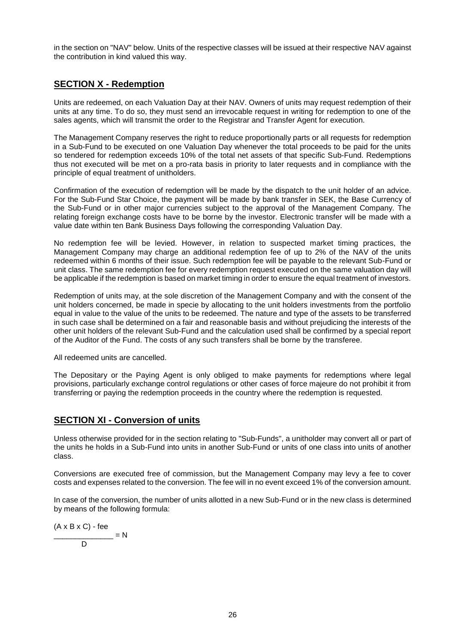in the section on "NAV" below. Units of the respective classes will be issued at their respective NAV against the contribution in kind valued this way.

# <span id="page-25-0"></span>**SECTION X - Redemption**

Units are redeemed, on each Valuation Day at their NAV. Owners of units may request redemption of their units at any time. To do so, they must send an irrevocable request in writing for redemption to one of the sales agents, which will transmit the order to the Registrar and Transfer Agent for execution.

The Management Company reserves the right to reduce proportionally parts or all requests for redemption in a Sub-Fund to be executed on one Valuation Day whenever the total proceeds to be paid for the units so tendered for redemption exceeds 10% of the total net assets of that specific Sub-Fund. Redemptions thus not executed will be met on a pro-rata basis in priority to later requests and in compliance with the principle of equal treatment of unitholders.

Confirmation of the execution of redemption will be made by the dispatch to the unit holder of an advice. For the Sub-Fund Star Choice, the payment will be made by bank transfer in SEK, the Base Currency of the Sub-Fund or in other major currencies subject to the approval of the Management Company. The relating foreign exchange costs have to be borne by the investor. Electronic transfer will be made with a value date within ten Bank Business Days following the corresponding Valuation Day.

No redemption fee will be levied. However, in relation to suspected market timing practices, the Management Company may charge an additional redemption fee of up to 2% of the NAV of the units redeemed within 6 months of their issue. Such redemption fee will be payable to the relevant Sub-Fund or unit class. The same redemption fee for every redemption request executed on the same valuation day will be applicable if the redemption is based on market timing in order to ensure the equal treatment of investors.

Redemption of units may, at the sole discretion of the Management Company and with the consent of the unit holders concerned, be made in specie by allocating to the unit holders investments from the portfolio equal in value to the value of the units to be redeemed. The nature and type of the assets to be transferred in such case shall be determined on a fair and reasonable basis and without prejudicing the interests of the other unit holders of the relevant Sub-Fund and the calculation used shall be confirmed by a special report of the Auditor of the Fund. The costs of any such transfers shall be borne by the transferee.

All redeemed units are cancelled.

The Depositary or the Paying Agent is only obliged to make payments for redemptions where legal provisions, particularly exchange control regulations or other cases of force majeure do not prohibit it from transferring or paying the redemption proceeds in the country where the redemption is requested.

# <span id="page-25-1"></span>**SECTION XI - Conversion of units**

Unless otherwise provided for in the section relating to "Sub-Funds", a unitholder may convert all or part of the units he holds in a Sub-Fund into units in another Sub-Fund or units of one class into units of another class.

Conversions are executed free of commission, but the Management Company may levy a fee to cover costs and expenses related to the conversion. The fee will in no event exceed 1% of the conversion amount.

In case of the conversion, the number of units allotted in a new Sub-Fund or in the new class is determined by means of the following formula:

$$
\frac{(A \times B \times C) - \text{fee}}{D} = N
$$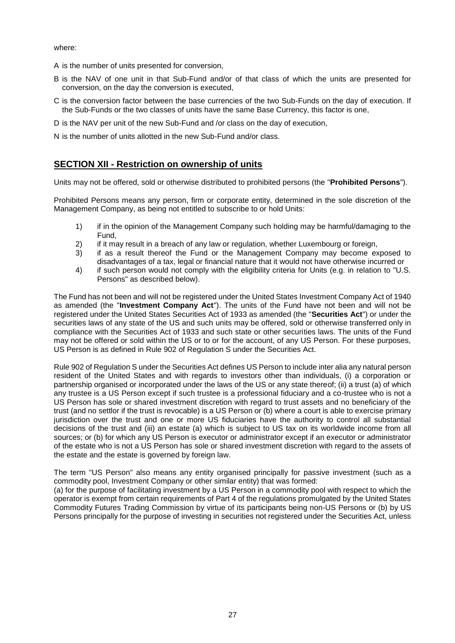where:

- A is the number of units presented for conversion,
- B is the NAV of one unit in that Sub-Fund and/or of that class of which the units are presented for conversion, on the day the conversion is executed,
- C is the conversion factor between the base currencies of the two Sub-Funds on the day of execution. If the Sub-Funds or the two classes of units have the same Base Currency, this factor is one,
- D is the NAV per unit of the new Sub-Fund and /or class on the day of execution,
- N is the number of units allotted in the new Sub-Fund and/or class.

# <span id="page-26-0"></span>**SECTION XII - Restriction on ownership of units**

Units may not be offered, sold or otherwise distributed to prohibited persons (the "**Prohibited Persons**").

Prohibited Persons means any person, firm or corporate entity, determined in the sole discretion of the Management Company, as being not entitled to subscribe to or hold Units:

- 1) if in the opinion of the Management Company such holding may be harmful/damaging to the Fund,
- 2) if it may result in a breach of any law or regulation, whether Luxembourg or foreign,
- 3) if as a result thereof the Fund or the Management Company may become exposed to disadvantages of a tax, legal or financial nature that it would not have otherwise incurred or
- 4) if such person would not comply with the eligibility criteria for Units (e.g. in relation to "U.S. Persons" as described below).

The Fund has not been and will not be registered under the United States Investment Company Act of 1940 as amended (the "**Investment Company Act**"). The units of the Fund have not been and will not be registered under the United States Securities Act of 1933 as amended (the "**Securities Act**") or under the securities laws of any state of the US and such units may be offered, sold or otherwise transferred only in compliance with the Securities Act of 1933 and such state or other securities laws. The units of the Fund may not be offered or sold within the US or to or for the account, of any US Person. For these purposes, US Person is as defined in Rule 902 of Regulation S under the Securities Act.

Rule 902 of Regulation S under the Securities Act defines US Person to include inter alia any natural person resident of the United States and with regards to investors other than individuals, (i) a corporation or partnership organised or incorporated under the laws of the US or any state thereof; (ii) a trust (a) of which any trustee is a US Person except if such trustee is a professional fiduciary and a co-trustee who is not a US Person has sole or shared investment discretion with regard to trust assets and no beneficiary of the trust (and no settlor if the trust is revocable) is a US Person or (b) where a court is able to exercise primary jurisdiction over the trust and one or more US fiduciaries have the authority to control all substantial decisions of the trust and (iii) an estate (a) which is subject to US tax on its worldwide income from all sources; or (b) for which any US Person is executor or administrator except if an executor or administrator of the estate who is not a US Person has sole or shared investment discretion with regard to the assets of the estate and the estate is governed by foreign law.

The term "US Person" also means any entity organised principally for passive investment (such as a commodity pool, Investment Company or other similar entity) that was formed:

(a) for the purpose of facilitating investment by a US Person in a commodity pool with respect to which the operator is exempt from certain requirements of Part 4 of the regulations promulgated by the United States Commodity Futures Trading Commission by virtue of its participants being non-US Persons or (b) by US Persons principally for the purpose of investing in securities not registered under the Securities Act, unless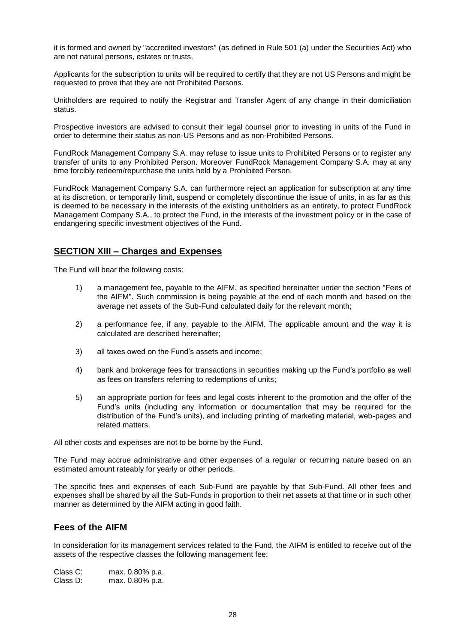it is formed and owned by "accredited investors" (as defined in Rule 501 (a) under the Securities Act) who are not natural persons, estates or trusts.

Applicants for the subscription to units will be required to certify that they are not US Persons and might be requested to prove that they are not Prohibited Persons.

Unitholders are required to notify the Registrar and Transfer Agent of any change in their domiciliation status.

Prospective investors are advised to consult their legal counsel prior to investing in units of the Fund in order to determine their status as non-US Persons and as non-Prohibited Persons.

FundRock Management Company S.A. may refuse to issue units to Prohibited Persons or to register any transfer of units to any Prohibited Person. Moreover FundRock Management Company S.A. may at any time forcibly redeem/repurchase the units held by a Prohibited Person.

FundRock Management Company S.A. can furthermore reject an application for subscription at any time at its discretion, or temporarily limit, suspend or completely discontinue the issue of units, in as far as this is deemed to be necessary in the interests of the existing unitholders as an entirety, to protect FundRock Management Company S.A., to protect the Fund, in the interests of the investment policy or in the case of endangering specific investment objectives of the Fund.

# <span id="page-27-0"></span>**SECTION XIII – Charges and Expenses**

The Fund will bear the following costs:

- 1) a management fee, payable to the AIFM, as specified hereinafter under the section "Fees of the AIFM". Such commission is being payable at the end of each month and based on the average net assets of the Sub-Fund calculated daily for the relevant month;
- 2) a performance fee, if any, payable to the AIFM. The applicable amount and the way it is calculated are described hereinafter;
- 3) all taxes owed on the Fund's assets and income;
- 4) bank and brokerage fees for transactions in securities making up the Fund's portfolio as well as fees on transfers referring to redemptions of units;
- 5) an appropriate portion for fees and legal costs inherent to the promotion and the offer of the Fund's units (including any information or documentation that may be required for the distribution of the Fund's units), and including printing of marketing material, web-pages and related matters.

All other costs and expenses are not to be borne by the Fund.

The Fund may accrue administrative and other expenses of a regular or recurring nature based on an estimated amount rateably for yearly or other periods.

The specific fees and expenses of each Sub-Fund are payable by that Sub-Fund. All other fees and expenses shall be shared by all the Sub-Funds in proportion to their net assets at that time or in such other manner as determined by the AIFM acting in good faith.

# <span id="page-27-1"></span>**Fees of the AIFM**

In consideration for its management services related to the Fund, the AIFM is entitled to receive out of the assets of the respective classes the following management fee:

Class C: max. 0.80% p.a. Class D: max. 0.80% p.a.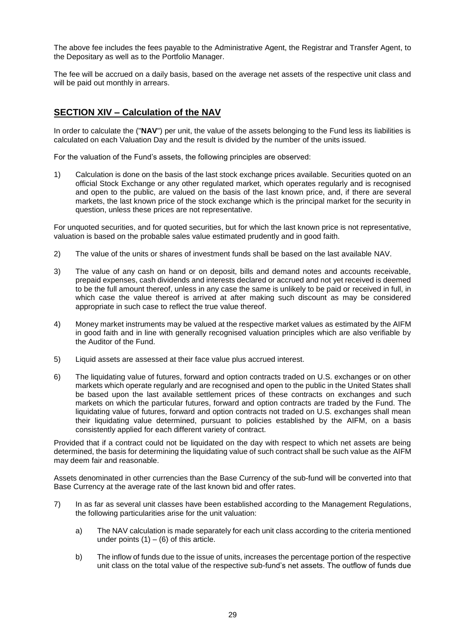The above fee includes the fees payable to the Administrative Agent, the Registrar and Transfer Agent, to the Depositary as well as to the Portfolio Manager.

The fee will be accrued on a daily basis, based on the average net assets of the respective unit class and will be paid out monthly in arrears.

# <span id="page-28-0"></span>**SECTION XIV – Calculation of the NAV**

In order to calculate the ("**NAV**") per unit, the value of the assets belonging to the Fund less its liabilities is calculated on each Valuation Day and the result is divided by the number of the units issued.

For the valuation of the Fund's assets, the following principles are observed:

1) Calculation is done on the basis of the last stock exchange prices available. Securities quoted on an official Stock Exchange or any other regulated market, which operates regularly and is recognised and open to the public, are valued on the basis of the last known price, and, if there are several markets, the last known price of the stock exchange which is the principal market for the security in question, unless these prices are not representative.

For unquoted securities, and for quoted securities, but for which the last known price is not representative, valuation is based on the probable sales value estimated prudently and in good faith.

- 2) The value of the units or shares of investment funds shall be based on the last available NAV.
- 3) The value of any cash on hand or on deposit, bills and demand notes and accounts receivable, prepaid expenses, cash dividends and interests declared or accrued and not yet received is deemed to be the full amount thereof, unless in any case the same is unlikely to be paid or received in full, in which case the value thereof is arrived at after making such discount as may be considered appropriate in such case to reflect the true value thereof.
- 4) Money market instruments may be valued at the respective market values as estimated by the AIFM in good faith and in line with generally recognised valuation principles which are also verifiable by the Auditor of the Fund.
- 5) Liquid assets are assessed at their face value plus accrued interest.
- 6) The liquidating value of futures, forward and option contracts traded on U.S. exchanges or on other markets which operate regularly and are recognised and open to the public in the United States shall be based upon the last available settlement prices of these contracts on exchanges and such markets on which the particular futures, forward and option contracts are traded by the Fund. The liquidating value of futures, forward and option contracts not traded on U.S. exchanges shall mean their liquidating value determined, pursuant to policies established by the AIFM, on a basis consistently applied for each different variety of contract.

Provided that if a contract could not be liquidated on the day with respect to which net assets are being determined, the basis for determining the liquidating value of such contract shall be such value as the AIFM may deem fair and reasonable.

Assets denominated in other currencies than the Base Currency of the sub-fund will be converted into that Base Currency at the average rate of the last known bid and offer rates.

- 7) In as far as several unit classes have been established according to the Management Regulations, the following particularities arise for the unit valuation:
	- a) The NAV calculation is made separately for each unit class according to the criteria mentioned under points  $(1) - (6)$  of this article.
	- b) The inflow of funds due to the issue of units, increases the percentage portion of the respective unit class on the total value of the respective sub-fund's net assets. The outflow of funds due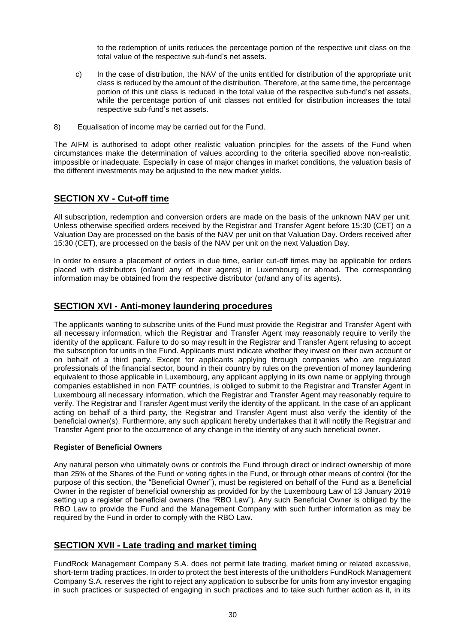to the redemption of units reduces the percentage portion of the respective unit class on the total value of the respective sub-fund's net assets.

- c) In the case of distribution, the NAV of the units entitled for distribution of the appropriate unit class is reduced by the amount of the distribution. Therefore, at the same time, the percentage portion of this unit class is reduced in the total value of the respective sub-fund's net assets, while the percentage portion of unit classes not entitled for distribution increases the total respective sub-fund's net assets.
- 8) Equalisation of income may be carried out for the Fund.

The AIFM is authorised to adopt other realistic valuation principles for the assets of the Fund when circumstances make the determination of values according to the criteria specified above non-realistic, impossible or inadequate. Especially in case of major changes in market conditions, the valuation basis of the different investments may be adjusted to the new market yields.

# <span id="page-29-0"></span>**SECTION XV - Cut-off time**

All subscription, redemption and conversion orders are made on the basis of the unknown NAV per unit. Unless otherwise specified orders received by the Registrar and Transfer Agent before 15:30 (CET) on a Valuation Day are processed on the basis of the NAV per unit on that Valuation Day. Orders received after 15:30 (CET), are processed on the basis of the NAV per unit on the next Valuation Day.

In order to ensure a placement of orders in due time, earlier cut-off times may be applicable for orders placed with distributors (or/and any of their agents) in Luxembourg or abroad. The corresponding information may be obtained from the respective distributor (or/and any of its agents).

# <span id="page-29-1"></span>**SECTION XVI - Anti-money laundering procedures**

The applicants wanting to subscribe units of the Fund must provide the Registrar and Transfer Agent with all necessary information, which the Registrar and Transfer Agent may reasonably require to verify the identity of the applicant. Failure to do so may result in the Registrar and Transfer Agent refusing to accept the subscription for units in the Fund. Applicants must indicate whether they invest on their own account or on behalf of a third party. Except for applicants applying through companies who are regulated professionals of the financial sector, bound in their country by rules on the prevention of money laundering equivalent to those applicable in Luxembourg, any applicant applying in its own name or applying through companies established in non FATF countries, is obliged to submit to the Registrar and Transfer Agent in Luxembourg all necessary information, which the Registrar and Transfer Agent may reasonably require to verify. The Registrar and Transfer Agent must verify the identity of the applicant. In the case of an applicant acting on behalf of a third party, the Registrar and Transfer Agent must also verify the identity of the beneficial owner(s). Furthermore, any such applicant hereby undertakes that it will notify the Registrar and Transfer Agent prior to the occurrence of any change in the identity of any such beneficial owner.

### **Register of Beneficial Owners**

Any natural person who ultimately owns or controls the Fund through direct or indirect ownership of more than 25% of the Shares of the Fund or voting rights in the Fund, or through other means of control (for the purpose of this section, the "Beneficial Owner"), must be registered on behalf of the Fund as a Beneficial Owner in the register of beneficial ownership as provided for by the Luxembourg Law of 13 January 2019 setting up a register of beneficial owners (the "RBO Law"). Any such Beneficial Owner is obliged by the RBO Law to provide the Fund and the Management Company with such further information as may be required by the Fund in order to comply with the RBO Law.

# <span id="page-29-2"></span>**SECTION XVII - Late trading and market timing**

FundRock Management Company S.A. does not permit late trading, market timing or related excessive, short-term trading practices. In order to protect the best interests of the unitholders FundRock Management Company S.A. reserves the right to reject any application to subscribe for units from any investor engaging in such practices or suspected of engaging in such practices and to take such further action as it, in its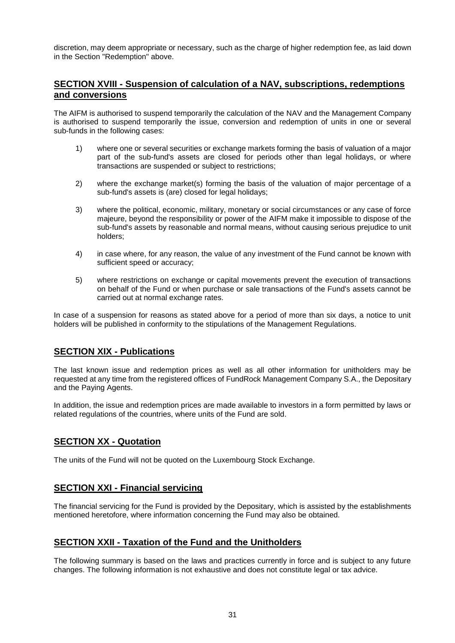discretion, may deem appropriate or necessary, such as the charge of higher redemption fee, as laid down in the Section "Redemption" above.

# <span id="page-30-0"></span>**SECTION XVIII - Suspension of calculation of a NAV, subscriptions, redemptions and conversions**

The AIFM is authorised to suspend temporarily the calculation of the NAV and the Management Company is authorised to suspend temporarily the issue, conversion and redemption of units in one or several sub-funds in the following cases:

- 1) where one or several securities or exchange markets forming the basis of valuation of a major part of the sub-fund's assets are closed for periods other than legal holidays, or where transactions are suspended or subject to restrictions;
- 2) where the exchange market(s) forming the basis of the valuation of major percentage of a sub-fund's assets is (are) closed for legal holidays;
- 3) where the political, economic, military, monetary or social circumstances or any case of force majeure, beyond the responsibility or power of the AIFM make it impossible to dispose of the sub-fund's assets by reasonable and normal means, without causing serious prejudice to unit holders;
- 4) in case where, for any reason, the value of any investment of the Fund cannot be known with sufficient speed or accuracy;
- 5) where restrictions on exchange or capital movements prevent the execution of transactions on behalf of the Fund or when purchase or sale transactions of the Fund's assets cannot be carried out at normal exchange rates.

In case of a suspension for reasons as stated above for a period of more than six days, a notice to unit holders will be published in conformity to the stipulations of the Management Regulations.

# <span id="page-30-1"></span>**SECTION XIX - Publications**

The last known issue and redemption prices as well as all other information for unitholders may be requested at any time from the registered offices of FundRock Management Company S.A., the Depositary and the Paying Agents.

In addition, the issue and redemption prices are made available to investors in a form permitted by laws or related regulations of the countries, where units of the Fund are sold.

# <span id="page-30-2"></span>**SECTION XX - Quotation**

The units of the Fund will not be quoted on the Luxembourg Stock Exchange.

# <span id="page-30-3"></span>**SECTION XXI - Financial servicing**

The financial servicing for the Fund is provided by the Depositary, which is assisted by the establishments mentioned heretofore, where information concerning the Fund may also be obtained.

# <span id="page-30-4"></span>**SECTION XXII - Taxation of the Fund and the Unitholders**

The following summary is based on the laws and practices currently in force and is subject to any future changes. The following information is not exhaustive and does not constitute legal or tax advice.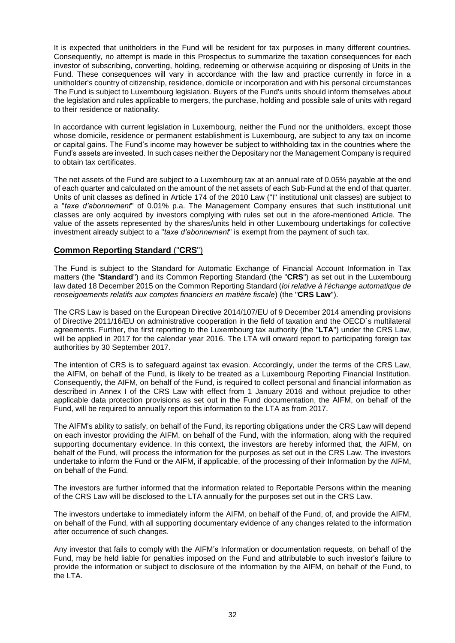It is expected that unitholders in the Fund will be resident for tax purposes in many different countries. Consequently, no attempt is made in this Prospectus to summarize the taxation consequences for each investor of subscribing, converting, holding, redeeming or otherwise acquiring or disposing of Units in the Fund. These consequences will vary in accordance with the law and practice currently in force in a unitholder's country of citizenship, residence, domicile or incorporation and with his personal circumstances The Fund is subject to Luxembourg legislation. Buyers of the Fund's units should inform themselves about the legislation and rules applicable to mergers, the purchase, holding and possible sale of units with regard to their residence or nationality.

In accordance with current legislation in Luxembourg, neither the Fund nor the unitholders, except those whose domicile, residence or permanent establishment is Luxembourg, are subject to any tax on income or capital gains. The Fund's income may however be subject to withholding tax in the countries where the Fund's assets are invested. In such cases neither the Depositary nor the Management Company is required to obtain tax certificates.

The net assets of the Fund are subject to a Luxembourg tax at an annual rate of 0.05% payable at the end of each quarter and calculated on the amount of the net assets of each Sub-Fund at the end of that quarter. Units of unit classes as defined in Article 174 of the 2010 Law ("I" institutional unit classes) are subject to a "*taxe d'abonnement*" of 0.01% p.a. The Management Company ensures that such institutional unit classes are only acquired by investors complying with rules set out in the afore-mentioned Article. The value of the assets represented by the shares/units held in other Luxembourg undertakings for collective investment already subject to a "*taxe d'abonnement*" is exempt from the payment of such tax.

# **Common Reporting Standard** ("**CRS**")

The Fund is subject to the Standard for Automatic Exchange of Financial Account Information in Tax matters (the "**Standard**") and its Common Reporting Standard (the "**CRS**") as set out in the Luxembourg law dated 18 December 2015 on the Common Reporting Standard (*loi relative à l'échange automatique de renseignements relatifs aux comptes financiers en matière fiscale*) (the "**CRS Law**").

The CRS Law is based on the European Directive 2014/107/EU of 9 December 2014 amending provisions of Directive 2011/16/EU on administrative cooperation in the field of taxation and the OECD`s multilateral agreements. Further, the first reporting to the Luxembourg tax authority (the "**LTA**") under the CRS Law, will be applied in 2017 for the calendar year 2016. The LTA will onward report to participating foreign tax authorities by 30 September 2017.

The intention of CRS is to safeguard against tax evasion. Accordingly, under the terms of the CRS Law, the AIFM, on behalf of the Fund, is likely to be treated as a Luxembourg Reporting Financial Institution. Consequently, the AIFM, on behalf of the Fund, is required to collect personal and financial information as described in Annex I of the CRS Law with effect from 1 January 2016 and without prejudice to other applicable data protection provisions as set out in the Fund documentation, the AIFM, on behalf of the Fund, will be required to annually report this information to the LTA as from 2017.

The AIFM's ability to satisfy, on behalf of the Fund, its reporting obligations under the CRS Law will depend on each investor providing the AIFM, on behalf of the Fund, with the information, along with the required supporting documentary evidence. In this context, the investors are hereby informed that, the AIFM, on behalf of the Fund, will process the information for the purposes as set out in the CRS Law. The investors undertake to inform the Fund or the AIFM, if applicable, of the processing of their Information by the AIFM, on behalf of the Fund.

The investors are further informed that the information related to Reportable Persons within the meaning of the CRS Law will be disclosed to the LTA annually for the purposes set out in the CRS Law.

The investors undertake to immediately inform the AIFM, on behalf of the Fund, of, and provide the AIFM, on behalf of the Fund, with all supporting documentary evidence of any changes related to the information after occurrence of such changes.

Any investor that fails to comply with the AIFM's Information or documentation requests, on behalf of the Fund, may be held liable for penalties imposed on the Fund and attributable to such investor's failure to provide the information or subject to disclosure of the information by the AIFM, on behalf of the Fund, to the LTA.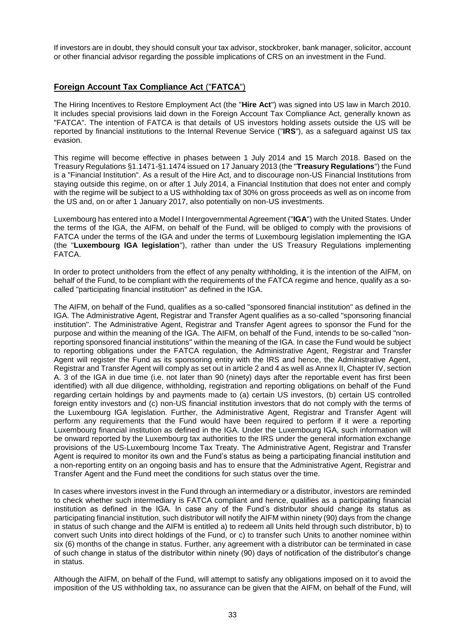If investors are in doubt, they should consult your tax advisor, stockbroker, bank manager, solicitor, account or other financial advisor regarding the possible implications of CRS on an investment in the Fund.

### **Foreign Account Tax Compliance Act** ("**FATCA**")

The Hiring Incentives to Restore Employment Act (the "**Hire Act**") was signed into US law in March 2010. It includes special provisions laid down in the Foreign Account Tax Compliance Act, generally known as "FATCA". The intention of FATCA is that details of US investors holding assets outside the US will be reported by financial institutions to the Internal Revenue Service ("**IRS**"), as a safeguard against US tax evasion.

This regime will become effective in phases between 1 July 2014 and 15 March 2018. Based on the Treasury Regulations §1.1471-§1.1474 issued on 17 January 2013 (the "**Treasury Regulations**") the Fund is a "Financial Institution". As a result of the Hire Act, and to discourage non-US Financial Institutions from staying outside this regime, on or after 1 July 2014, a Financial Institution that does not enter and comply with the regime will be subject to a US withholding tax of 30% on gross proceeds as well as on income from the US and, on or after 1 January 2017, also potentially on non-US investments.

Luxembourg has entered into a Model I Intergovernmental Agreement ("**IGA**") with the United States. Under the terms of the IGA, the AIFM, on behalf of the Fund, will be obliged to comply with the provisions of FATCA under the terms of the IGA and under the terms of Luxembourg legislation implementing the IGA (the "**Luxembourg IGA legislation**"), rather than under the US Treasury Regulations implementing FATCA.

In order to protect unitholders from the effect of any penalty withholding, it is the intention of the AIFM, on behalf of the Fund, to be compliant with the requirements of the FATCA regime and hence, qualify as a socalled "participating financial institution" as defined in the IGA.

The AIFM, on behalf of the Fund, qualifies as a so-called "sponsored financial institution" as defined in the IGA. The Administrative Agent, Registrar and Transfer Agent qualifies as a so-called "sponsoring financial institution". The Administrative Agent, Registrar and Transfer Agent agrees to sponsor the Fund for the purpose and within the meaning of the IGA. The AIFM, on behalf of the Fund, intends to be so-called "nonreporting sponsored financial institutions" within the meaning of the IGA. In case the Fund would be subject to reporting obligations under the FATCA regulation, the Administrative Agent, Registrar and Transfer Agent will register the Fund as its sponsoring entity with the IRS and hence, the Administrative Agent, Registrar and Transfer Agent will comply as set out in article 2 and 4 as well as Annex II, Chapter IV, section A. 3 of the IGA in due time (i.e. not later than 90 (ninety) days after the reportable event has first been identified) with all due diligence, withholding, registration and reporting obligations on behalf of the Fund regarding certain holdings by and payments made to (a) certain US investors, (b) certain US controlled foreign entity investors and (c) non-US financial institution investors that do not comply with the terms of the Luxembourg IGA legislation. Further, the Administrative Agent, Registrar and Transfer Agent will perform any requirements that the Fund would have been required to perform if it were a reporting Luxembourg financial institution as defined in the IGA. Under the Luxembourg IGA, such information will be onward reported by the Luxembourg tax authorities to the IRS under the general information exchange provisions of the US-Luxembourg Income Tax Treaty. The Administrative Agent, Registrar and Transfer Agent is required to monitor its own and the Fund's status as being a participating financial institution and a non-reporting entity on an ongoing basis and has to ensure that the Administrative Agent, Registrar and Transfer Agent and the Fund meet the conditions for such status over the time.

In cases where investors invest in the Fund through an intermediary or a distributor, investors are reminded to check whether such intermediary is FATCA compliant and hence, qualifies as a participating financial institution as defined in the IGA. In case any of the Fund's distributor should change its status as participating financial institution, such distributor will notify the AIFM within ninety (90) days from the change in status of such change and the AIFM is entitled a) to redeem all Units held through such distributor, b) to convert such Units into direct holdings of the Fund, or c) to transfer such Units to another nominee within six (6) months of the change in status. Further, any agreement with a distributor can be terminated in case of such change in status of the distributor within ninety (90) days of notification of the distributor's change in status.

Although the AIFM, on behalf of the Fund, will attempt to satisfy any obligations imposed on it to avoid the imposition of the US withholding tax, no assurance can be given that the AIFM, on behalf of the Fund, will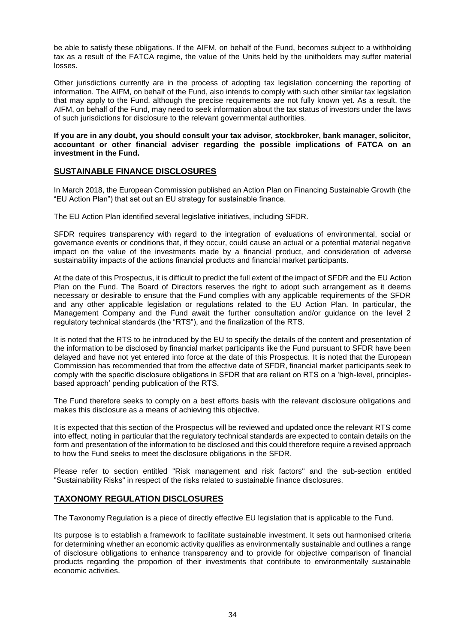be able to satisfy these obligations. If the AIFM, on behalf of the Fund, becomes subject to a withholding tax as a result of the FATCA regime, the value of the Units held by the unitholders may suffer material losses.

Other jurisdictions currently are in the process of adopting tax legislation concerning the reporting of information. The AIFM, on behalf of the Fund, also intends to comply with such other similar tax legislation that may apply to the Fund, although the precise requirements are not fully known yet. As a result, the AIFM, on behalf of the Fund, may need to seek information about the tax status of investors under the laws of such jurisdictions for disclosure to the relevant governmental authorities.

### **If you are in any doubt, you should consult your tax advisor, stockbroker, bank manager, solicitor, accountant or other financial adviser regarding the possible implications of FATCA on an investment in the Fund.**

### **SUSTAINABLE FINANCE DISCLOSURES**

In March 2018, the European Commission published an Action Plan on Financing Sustainable Growth (the "EU Action Plan") that set out an EU strategy for sustainable finance.

The EU Action Plan identified several legislative initiatives, including SFDR.

SFDR requires transparency with regard to the integration of evaluations of environmental, social or governance events or conditions that, if they occur, could cause an actual or a potential material negative impact on the value of the investments made by a financial product, and consideration of adverse sustainability impacts of the actions financial products and financial market participants.

At the date of this Prospectus, it is difficult to predict the full extent of the impact of SFDR and the EU Action Plan on the Fund. The Board of Directors reserves the right to adopt such arrangement as it deems necessary or desirable to ensure that the Fund complies with any applicable requirements of the SFDR and any other applicable legislation or regulations related to the EU Action Plan. In particular, the Management Company and the Fund await the further consultation and/or guidance on the level 2 regulatory technical standards (the "RTS"), and the finalization of the RTS.

It is noted that the RTS to be introduced by the EU to specify the details of the content and presentation of the information to be disclosed by financial market participants like the Fund pursuant to SFDR have been delayed and have not yet entered into force at the date of this Prospectus. It is noted that the European Commission has recommended that from the effective date of SFDR, financial market participants seek to comply with the specific disclosure obligations in SFDR that are reliant on RTS on a 'high-level, principlesbased approach' pending publication of the RTS.

The Fund therefore seeks to comply on a best efforts basis with the relevant disclosure obligations and makes this disclosure as a means of achieving this objective.

It is expected that this section of the Prospectus will be reviewed and updated once the relevant RTS come into effect, noting in particular that the regulatory technical standards are expected to contain details on the form and presentation of the information to be disclosed and this could therefore require a revised approach to how the Fund seeks to meet the disclosure obligations in the SFDR.

Please refer to section entitled "Risk management and risk factors" and the sub-section entitled "Sustainability Risks" in respect of the risks related to sustainable finance disclosures.

# **TAXONOMY REGULATION DISCLOSURES**

The Taxonomy Regulation is a piece of directly effective EU legislation that is applicable to the Fund.

Its purpose is to establish a framework to facilitate sustainable investment. It sets out harmonised criteria for determining whether an economic activity qualifies as environmentally sustainable and outlines a range of disclosure obligations to enhance transparency and to provide for objective comparison of financial products regarding the proportion of their investments that contribute to environmentally sustainable economic activities.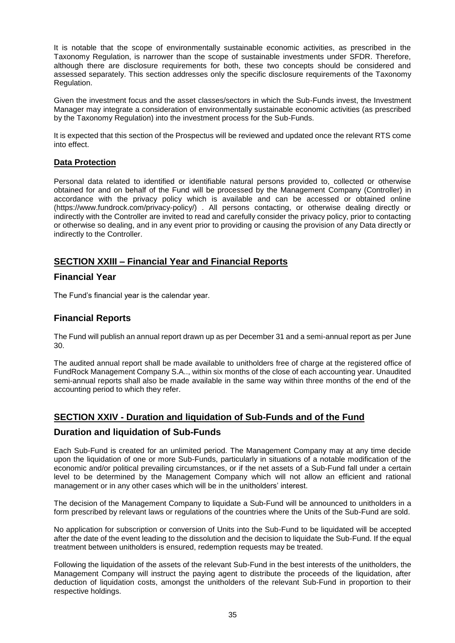It is notable that the scope of environmentally sustainable economic activities, as prescribed in the Taxonomy Regulation, is narrower than the scope of sustainable investments under SFDR. Therefore, although there are disclosure requirements for both, these two concepts should be considered and assessed separately. This section addresses only the specific disclosure requirements of the Taxonomy Regulation.

Given the investment focus and the asset classes/sectors in which the Sub-Funds invest, the Investment Manager may integrate a consideration of environmentally sustainable economic activities (as prescribed by the Taxonomy Regulation) into the investment process for the Sub-Funds.

It is expected that this section of the Prospectus will be reviewed and updated once the relevant RTS come into effect.

# **Data Protection**

Personal data related to identified or identifiable natural persons provided to, collected or otherwise obtained for and on behalf of the Fund will be processed by the Management Company (Controller) in accordance with the privacy policy which is available and can be accessed or obtained online (https://www.fundrock.com/privacy-policy/) . All persons contacting, or otherwise dealing directly or indirectly with the Controller are invited to read and carefully consider the privacy policy, prior to contacting or otherwise so dealing, and in any event prior to providing or causing the provision of any Data directly or indirectly to the Controller.

# <span id="page-34-0"></span>**SECTION XXIII – Financial Year and Financial Reports**

# <span id="page-34-1"></span>**Financial Year**

The Fund's financial year is the calendar year.

# <span id="page-34-2"></span>**Financial Reports**

The Fund will publish an annual report drawn up as per December 31 and a semi-annual report as per June 30.

The audited annual report shall be made available to unitholders free of charge at the registered office of FundRock Management Company S.A.., within six months of the close of each accounting year. Unaudited semi-annual reports shall also be made available in the same way within three months of the end of the accounting period to which they refer.

# <span id="page-34-3"></span>**SECTION XXIV - Duration and liquidation of Sub-Funds and of the Fund**

# <span id="page-34-4"></span>**Duration and liquidation of Sub-Funds**

Each Sub-Fund is created for an unlimited period. The Management Company may at any time decide upon the liquidation of one or more Sub-Funds, particularly in situations of a notable modification of the economic and/or political prevailing circumstances, or if the net assets of a Sub-Fund fall under a certain level to be determined by the Management Company which will not allow an efficient and rational management or in any other cases which will be in the unitholders' interest.

The decision of the Management Company to liquidate a Sub-Fund will be announced to unitholders in a form prescribed by relevant laws or regulations of the countries where the Units of the Sub-Fund are sold.

No application for subscription or conversion of Units into the Sub-Fund to be liquidated will be accepted after the date of the event leading to the dissolution and the decision to liquidate the Sub-Fund. If the equal treatment between unitholders is ensured, redemption requests may be treated.

Following the liquidation of the assets of the relevant Sub-Fund in the best interests of the unitholders, the Management Company will instruct the paying agent to distribute the proceeds of the liquidation, after deduction of liquidation costs, amongst the unitholders of the relevant Sub-Fund in proportion to their respective holdings.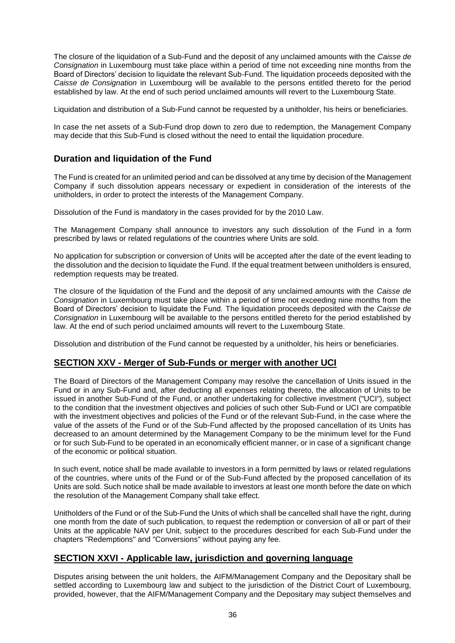The closure of the liquidation of a Sub-Fund and the deposit of any unclaimed amounts with the *Caisse de Consignation* in Luxembourg must take place within a period of time not exceeding nine months from the Board of Directors' decision to liquidate the relevant Sub-Fund. The liquidation proceeds deposited with the *Caisse de Consignation* in Luxembourg will be available to the persons entitled thereto for the period established by law. At the end of such period unclaimed amounts will revert to the Luxembourg State.

Liquidation and distribution of a Sub-Fund cannot be requested by a unitholder, his heirs or beneficiaries.

In case the net assets of a Sub-Fund drop down to zero due to redemption, the Management Company may decide that this Sub-Fund is closed without the need to entail the liquidation procedure.

# <span id="page-35-0"></span>**Duration and liquidation of the Fund**

The Fund is created for an unlimited period and can be dissolved at any time by decision of the Management Company if such dissolution appears necessary or expedient in consideration of the interests of the unitholders, in order to protect the interests of the Management Company.

Dissolution of the Fund is mandatory in the cases provided for by the 2010 Law.

The Management Company shall announce to investors any such dissolution of the Fund in a form prescribed by laws or related regulations of the countries where Units are sold.

No application for subscription or conversion of Units will be accepted after the date of the event leading to the dissolution and the decision to liquidate the Fund. If the equal treatment between unitholders is ensured, redemption requests may be treated.

The closure of the liquidation of the Fund and the deposit of any unclaimed amounts with the *Caisse de Consignation* in Luxembourg must take place within a period of time not exceeding nine months from the Board of Directors' decision to liquidate the Fund. The liquidation proceeds deposited with the *Caisse de Consignation* in Luxembourg will be available to the persons entitled thereto for the period established by law. At the end of such period unclaimed amounts will revert to the Luxembourg State.

<span id="page-35-1"></span>Dissolution and distribution of the Fund cannot be requested by a unitholder, his heirs or beneficiaries.

# **SECTION XXV - Merger of Sub-Funds or merger with another UCI**

The Board of Directors of the Management Company may resolve the cancellation of Units issued in the Fund or in any Sub-Fund and, after deducting all expenses relating thereto, the allocation of Units to be issued in another Sub-Fund of the Fund, or another undertaking for collective investment ("UCI"), subject to the condition that the investment objectives and policies of such other Sub-Fund or UCI are compatible with the investment objectives and policies of the Fund or of the relevant Sub-Fund, in the case where the value of the assets of the Fund or of the Sub-Fund affected by the proposed cancellation of its Units has decreased to an amount determined by the Management Company to be the minimum level for the Fund or for such Sub-Fund to be operated in an economically efficient manner, or in case of a significant change of the economic or political situation.

In such event, notice shall be made available to investors in a form permitted by laws or related regulations of the countries, where units of the Fund or of the Sub-Fund affected by the proposed cancellation of its Units are sold. Such notice shall be made available to investors at least one month before the date on which the resolution of the Management Company shall take effect.

Unitholders of the Fund or of the Sub-Fund the Units of which shall be cancelled shall have the right, during one month from the date of such publication, to request the redemption or conversion of all or part of their Units at the applicable NAV per Unit, subject to the procedures described for each Sub-Fund under the chapters "Redemptions" and "Conversions" without paying any fee.

# <span id="page-35-2"></span>**SECTION XXVI - Applicable law, jurisdiction and governing language**

Disputes arising between the unit holders, the AIFM/Management Company and the Depositary shall be settled according to Luxembourg law and subject to the jurisdiction of the District Court of Luxembourg, provided, however, that the AIFM/Management Company and the Depositary may subject themselves and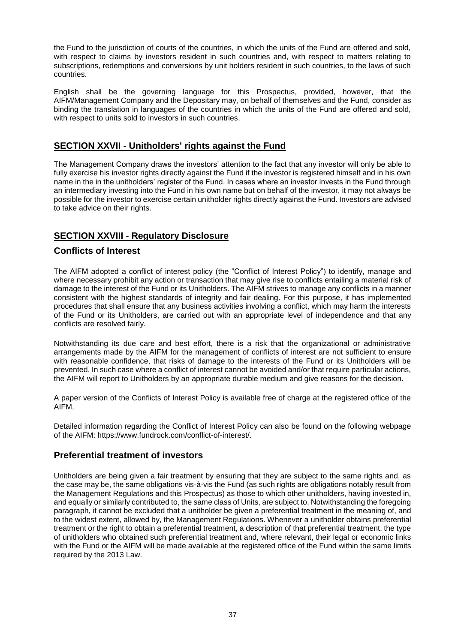the Fund to the jurisdiction of courts of the countries, in which the units of the Fund are offered and sold, with respect to claims by investors resident in such countries and, with respect to matters relating to subscriptions, redemptions and conversions by unit holders resident in such countries, to the laws of such countries.

English shall be the governing language for this Prospectus, provided, however, that the AIFM/Management Company and the Depositary may, on behalf of themselves and the Fund, consider as binding the translation in languages of the countries in which the units of the Fund are offered and sold, with respect to units sold to investors in such countries.

# <span id="page-36-0"></span>**SECTION XXVII - Unitholders' rights against the Fund**

The Management Company draws the investors' attention to the fact that any investor will only be able to fully exercise his investor rights directly against the Fund if the investor is registered himself and in his own name in the in the unitholders' register of the Fund. In cases where an investor invests in the Fund through an intermediary investing into the Fund in his own name but on behalf of the investor, it may not always be possible for the investor to exercise certain unitholder rights directly against the Fund. Investors are advised to take advice on their rights.

# <span id="page-36-1"></span>**SECTION XXVIII - Regulatory Disclosure**

# <span id="page-36-2"></span>**Conflicts of Interest**

The AIFM adopted a conflict of interest policy (the "Conflict of Interest Policy") to identify, manage and where necessary prohibit any action or transaction that may give rise to conflicts entailing a material risk of damage to the interest of the Fund or its Unitholders. The AIFM strives to manage any conflicts in a manner consistent with the highest standards of integrity and fair dealing. For this purpose, it has implemented procedures that shall ensure that any business activities involving a conflict, which may harm the interests of the Fund or its Unitholders, are carried out with an appropriate level of independence and that any conflicts are resolved fairly.

Notwithstanding its due care and best effort, there is a risk that the organizational or administrative arrangements made by the AIFM for the management of conflicts of interest are not sufficient to ensure with reasonable confidence, that risks of damage to the interests of the Fund or its Unitholders will be prevented. In such case where a conflict of interest cannot be avoided and/or that require particular actions, the AIFM will report to Unitholders by an appropriate durable medium and give reasons for the decision.

A paper version of the Conflicts of Interest Policy is available free of charge at the registered office of the AIFM.

Detailed information regarding the Conflict of Interest Policy can also be found on the following webpage of the AIFM: https://www.fundrock.com/conflict-of-interest/.

# <span id="page-36-3"></span>**Preferential treatment of investors**

Unitholders are being given a fair treatment by ensuring that they are subject to the same rights and, as the case may be, the same obligations vis-à-vis the Fund (as such rights are obligations notably result from the Management Regulations and this Prospectus) as those to which other unitholders, having invested in, and equally or similarly contributed to, the same class of Units, are subject to. Notwithstanding the foregoing paragraph, it cannot be excluded that a unitholder be given a preferential treatment in the meaning of, and to the widest extent, allowed by, the Management Regulations. Whenever a unitholder obtains preferential treatment or the right to obtain a preferential treatment, a description of that preferential treatment, the type of unitholders who obtained such preferential treatment and, where relevant, their legal or economic links with the Fund or the AIFM will be made available at the registered office of the Fund within the same limits required by the 2013 Law.